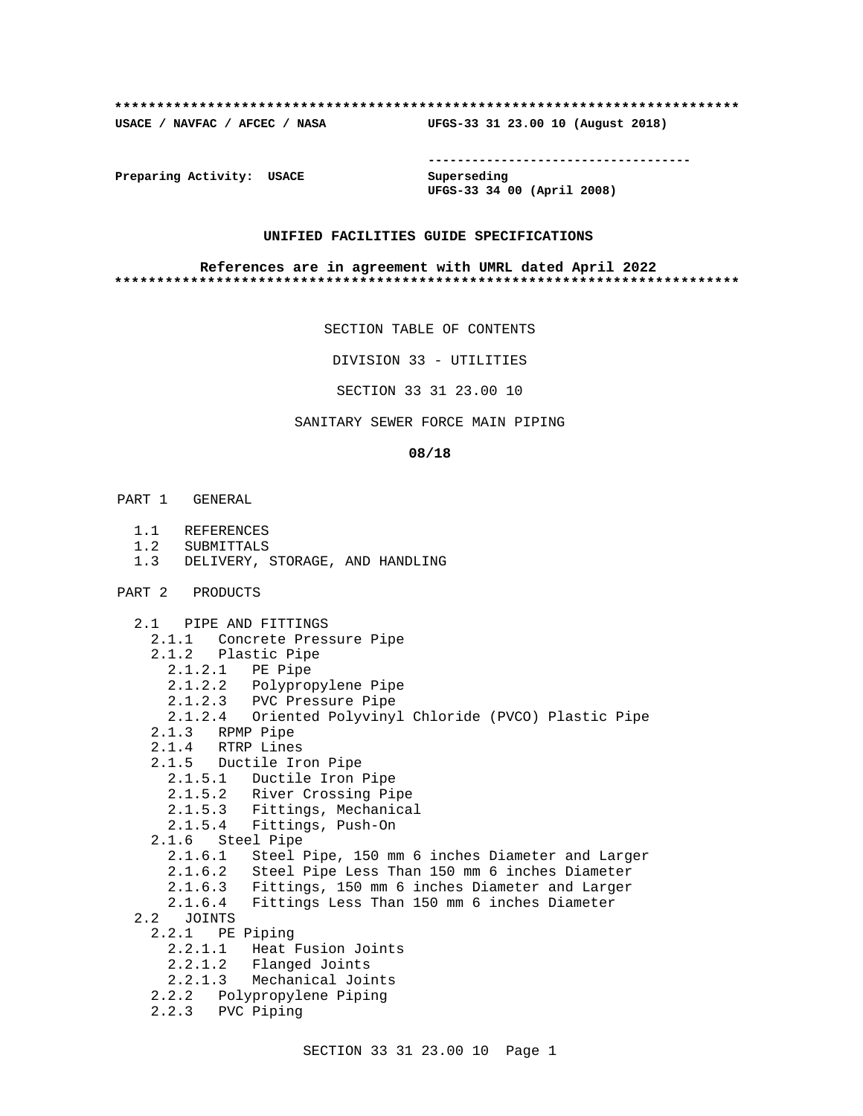#### **\*\*\*\*\*\*\*\*\*\*\*\*\*\*\*\*\*\*\*\*\*\*\*\*\*\*\*\*\*\*\*\*\*\*\*\*\*\*\*\*\*\*\*\*\*\*\*\*\*\*\*\*\*\*\*\*\*\*\*\*\*\*\*\*\*\*\*\*\*\*\*\*\*\***

**USACE / NAVFAC / AFCEC / NASA UFGS-33 31 23.00 10 (August 2018)**

**------------------------------------**

**Preparing Activity: USACE Superseding**

**UFGS-33 34 00 (April 2008)**

#### **UNIFIED FACILITIES GUIDE SPECIFICATIONS**

#### **References are in agreement with UMRL dated April 2022 \*\*\*\*\*\*\*\*\*\*\*\*\*\*\*\*\*\*\*\*\*\*\*\*\*\*\*\*\*\*\*\*\*\*\*\*\*\*\*\*\*\*\*\*\*\*\*\*\*\*\*\*\*\*\*\*\*\*\*\*\*\*\*\*\*\*\*\*\*\*\*\*\*\***

SECTION TABLE OF CONTENTS

DIVISION 33 - UTILITIES

SECTION 33 31 23.00 10

## SANITARY SEWER FORCE MAIN PIPING

#### **08/18**

- PART 1 GENERAL
	- 1.1 REFERENCES
	- 1.2 SUBMITTALS
	- 1.3 DELIVERY, STORAGE, AND HANDLING
- PART 2 PRODUCTS

 2.1 PIPE AND FITTINGS 2.1.1 Concrete Pressure Pipe 2.1.2 Plastic Pipe 2.1.2.1 PE Pipe 2.1.2.2 Polypropylene Pipe 2.1.2.3 PVC Pressure Pipe 2.1.2.4 Oriented Polyvinyl Chloride (PVCO) Plastic Pipe 2.1.3 RPMP Pipe 2.1.4 RTRP Lines 2.1.5 Ductile Iron Pipe 2.1.5.1 Ductile Iron Pipe 2.1.5.2 River Crossing Pipe 2.1.5.3 Fittings, Mechanical 2.1.5.4 Fittings, Push-On 2.1.6 Steel Pipe 2.1.6.1 Steel Pipe, 150 mm 6 inches Diameter and Larger 2.1.6.2 Steel Pipe Less Than 150 mm 6 inches Diameter 2.1.6.3 Fittings, 150 mm 6 inches Diameter and Larger 2.1.6.4 Fittings Less Than 150 mm 6 inches Diameter 2.2 JOINTS 2.2.1 PE Piping 2.2.1.1 Heat Fusion Joints 2.2.1.2 Flanged Joints 2.2.1.3 Mechanical Joints 2.2.2 Polypropylene Piping 2.2.3 PVC Piping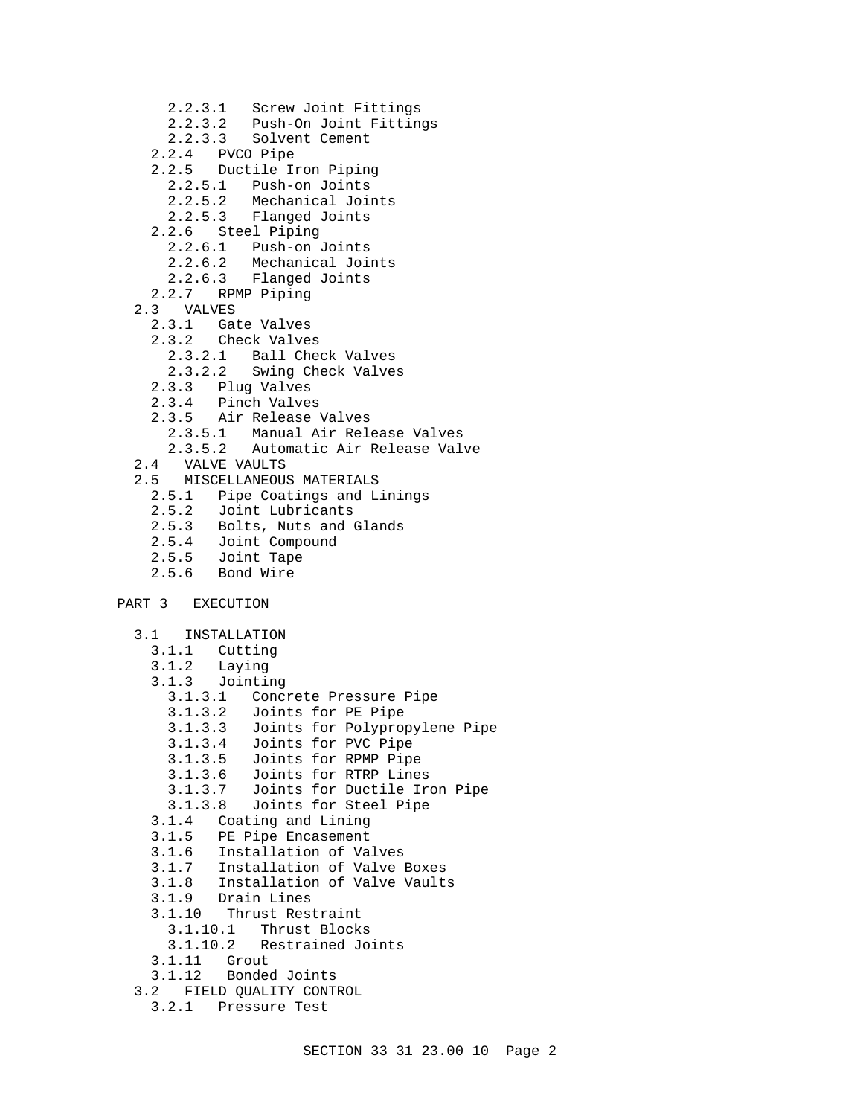- 2.2.3.1 Screw Joint Fittings 2.2.3.2 Push-On Joint Fittings 2.2.3.3 Solvent Cement 2.2.4 PVCO Pipe 2.2.5 Ductile Iron Piping 2.2.5.1 Push-on Joints 2.2.5.2 Mechanical Joints 2.2.5.3 Flanged Joints 2.2.6 Steel Piping 2.2.6.1 Push-on Joints 2.2.6.2 Mechanical Joints 2.2.6.3 Flanged Joints 2.2.7 RPMP Piping 2.3 VALVES 2.3.1 Gate Valves 2.3.2 Check Valves 2.3.2.1 Ball Check Valves 2.3.2.2 Swing Check Valves<br>2.3.3 Pluq Valves 2.3.3 Plug Valves 2.3.4 Pinch Valves 2.3.5 Air Release Valves 2.3.5.1 Manual Air Release Valves 2.3.5.2 Automatic Air Release Valve 2.4 VALVE VAULTS 2.5 MISCELLANEOUS MATERIALS 2.5.1 Pipe Coatings and Linings 2.5.2 Joint Lubricants<br>2.5.3 Bolts, Nuts and 2.5.3 Bolts, Nuts and Glands 2.5.4 Joint Compound 2.5.5 Joint Tape 2.5.6 Bond Wire PART 3 EXECUTION 3.1 INSTALLATION 3.1.1 Cutting 3.1.2 Laying 3.1.3 Jointing 3.1.3.1 Concrete Pressure Pipe 3.1.3.2 Joints for PE Pipe 3.1.3.3 Joints for Polypropylene Pipe 3.1.3.4 Joints for PVC Pipe 3.1.3.5 Joints for RPMP Pipe 3.1.3.6 Joints for RTRP Lines Joints for Ductile Iron Pipe 3.1.3.8 Joints for Steel Pipe 3.1.4 Coating and Lining 3.1.5 PE Pipe Encasement 3.1.6 Installation of Valves 3.1.7 Installation of Valve Boxes 3.1.8 Installation of Valve Vaults Drain Lines 3.1.10 Thrust Restraint 3.1.10.1 Thrust Blocks 3.1.10.2 Restrained Joints 3.1.11 Grout 3.1.12 Bonded Joints 3.2 FIELD QUALITY CONTROL
	- 3.2.1 Pressure Test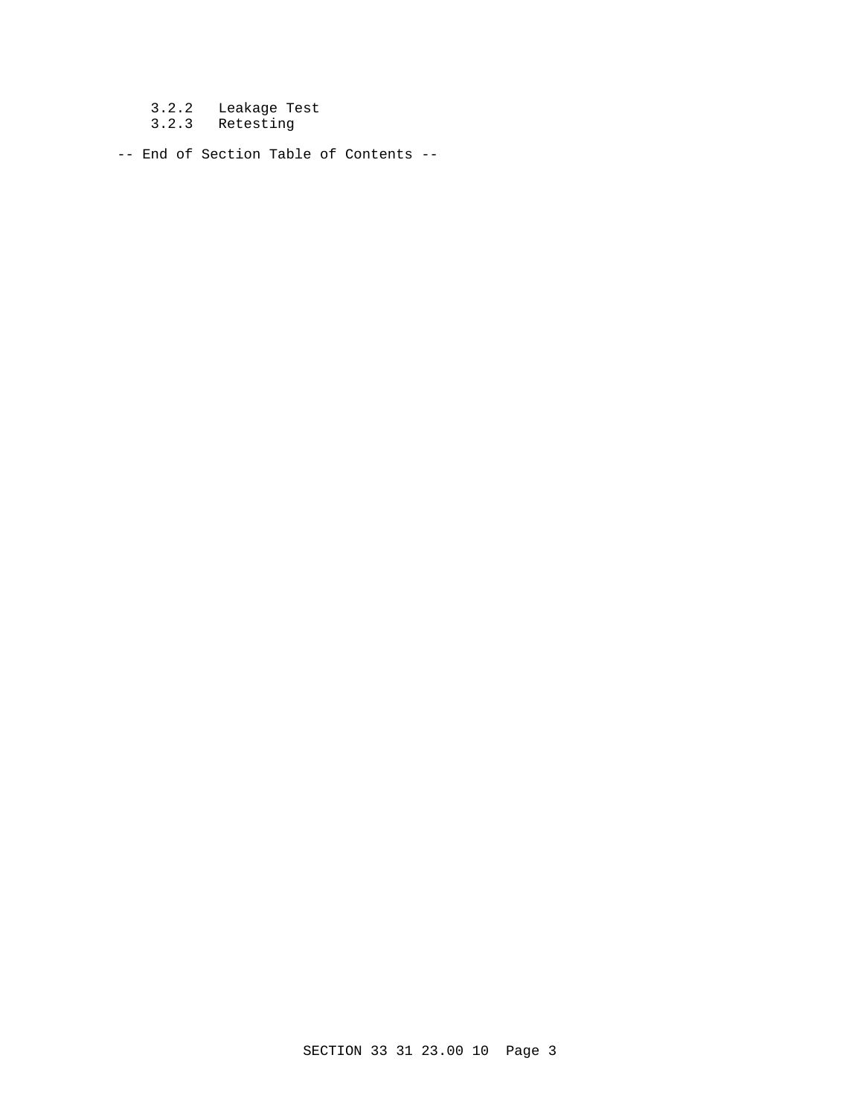3.2.2 Leakage Test

3.2.3 Retesting

-- End of Section Table of Contents --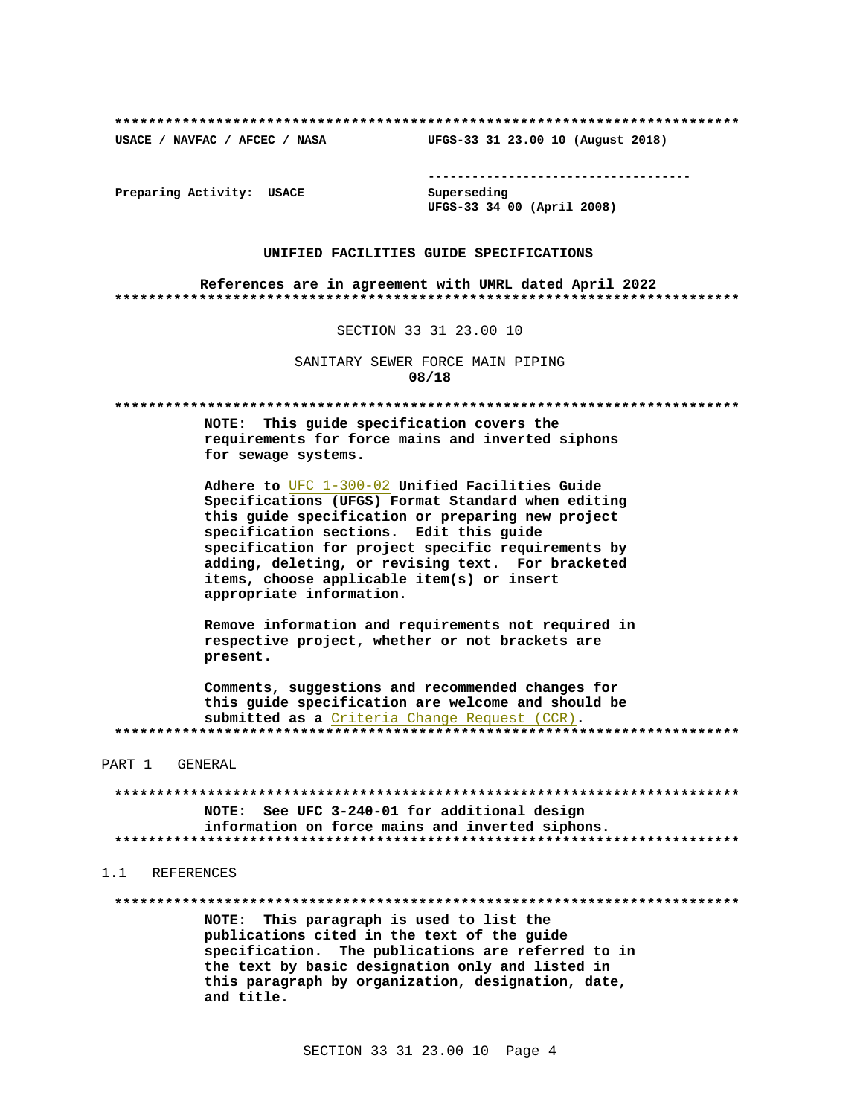USACE / NAVFAC / AFCEC / NASA

--------------------------------------

Preparing Activity: USACE

Superseding UFGS-33 34 00 (April 2008)

UFGS-33 31 23.00 10 (August 2018)

#### UNIFIED FACILITIES GUIDE SPECIFICATIONS

References are in agreement with UMRL dated April 2022 

SECTION 33 31 23.00 10

SANITARY SEWER FORCE MAIN PIPING 08/18

NOTE: This quide specification covers the requirements for force mains and inverted siphons for sewage systems.

Adhere to UFC 1-300-02 Unified Facilities Guide Specifications (UFGS) Format Standard when editing this guide specification or preparing new project specification sections. Edit this guide specification for project specific requirements by adding, deleting, or revising text. For bracketed items, choose applicable item(s) or insert appropriate information.

Remove information and requirements not required in respective project, whether or not brackets are present.

Comments, suggestions and recommended changes for this quide specification are welcome and should be submitted as a Criteria Change Request (CCR). 

PART 1 GENERAL

NOTE: See UFC 3-240-01 for additional design information on force mains and inverted siphons. 

1 1 REFERENCES

NOTE: This paragraph is used to list the publications cited in the text of the guide specification. The publications are referred to in the text by basic designation only and listed in this paragraph by organization, designation, date, and title.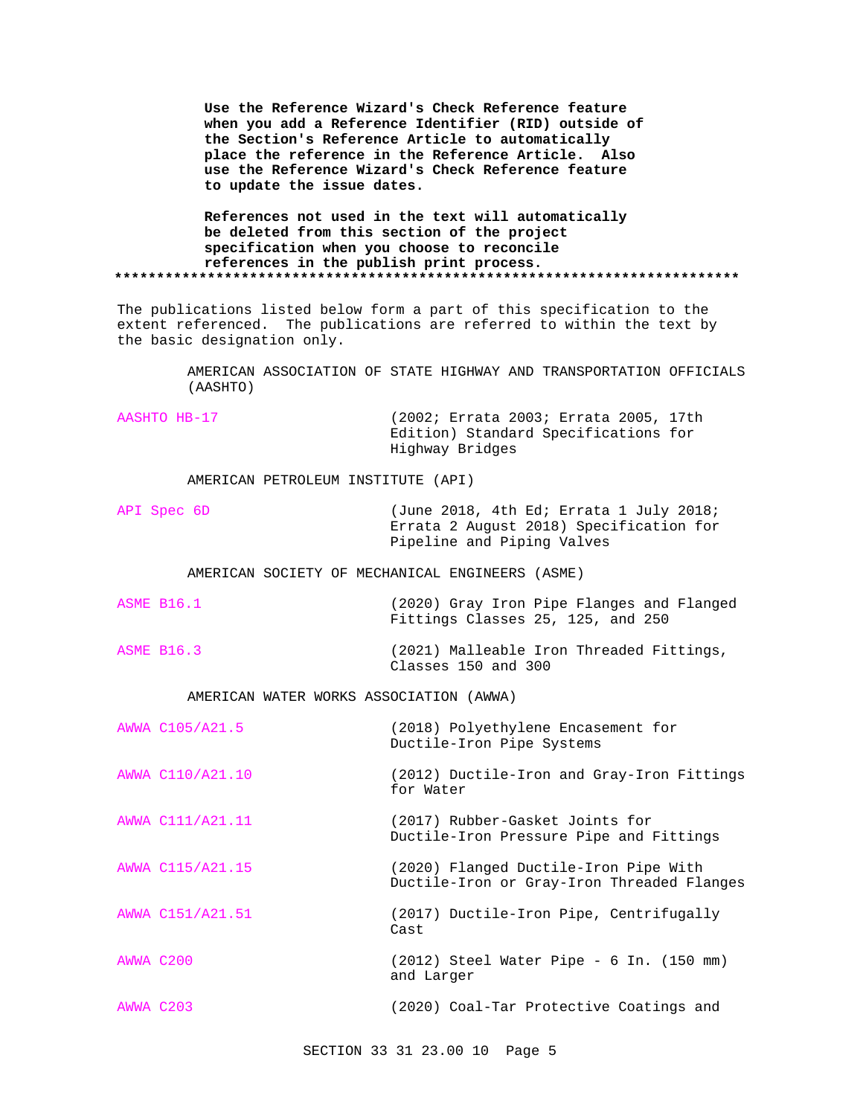**Use the Reference Wizard's Check Reference feature when you add a Reference Identifier (RID) outside of the Section's Reference Article to automatically place the reference in the Reference Article. Also use the Reference Wizard's Check Reference feature to update the issue dates.**

**References not used in the text will automatically be deleted from this section of the project specification when you choose to reconcile references in the publish print process. \*\*\*\*\*\*\*\*\*\*\*\*\*\*\*\*\*\*\*\*\*\*\*\*\*\*\*\*\*\*\*\*\*\*\*\*\*\*\*\*\*\*\*\*\*\*\*\*\*\*\*\*\*\*\*\*\*\*\*\*\*\*\*\*\*\*\*\*\*\*\*\*\*\***

The publications listed below form a part of this specification to the extent referenced. The publications are referred to within the text by the basic designation only.

> AMERICAN ASSOCIATION OF STATE HIGHWAY AND TRANSPORTATION OFFICIALS (AASHTO)

AASHTO HB-17 (2002; Errata 2003; Errata 2005, 17th Edition) Standard Specifications for Highway Bridges

AMERICAN PETROLEUM INSTITUTE (API)

API Spec 6D (June 2018, 4th Ed; Errata 1 July 2018; Errata 2 August 2018) Specification for Pipeline and Piping Valves

AMERICAN SOCIETY OF MECHANICAL ENGINEERS (ASME)

- ASME B16.1 (2020) Gray Iron Pipe Flanges and Flanged Fittings Classes 25, 125, and 250
- ASME B16.3 (2021) Malleable Iron Threaded Fittings, Classes 150 and 300

AMERICAN WATER WORKS ASSOCIATION (AWWA)

|           | AWWA C105/A21.5  | (2018) Polyethylene Encasement for<br>Ductile-Iron Pipe Systems                     |
|-----------|------------------|-------------------------------------------------------------------------------------|
|           | AWWA C110/A21.10 | (2012) Ductile-Iron and Gray-Iron Fittings<br>for Water                             |
|           | AWWA C111/A21.11 | (2017) Rubber-Gasket Joints for<br>Ductile-Iron Pressure Pipe and Fittings          |
|           | AWWA C115/A21.15 | (2020) Flanged Ductile-Iron Pipe With<br>Ductile-Iron or Gray-Iron Threaded Flanges |
|           | AWWA C151/A21.51 | (2017) Ductile-Iron Pipe, Centrifugally<br>Cast                                     |
| AWWA C200 |                  | $(2012)$ Steel Water Pipe - 6 In. $(150 \text{ mm})$<br>and Larger                  |
| AWWA C203 |                  | (2020) Coal-Tar Protective Coatings and                                             |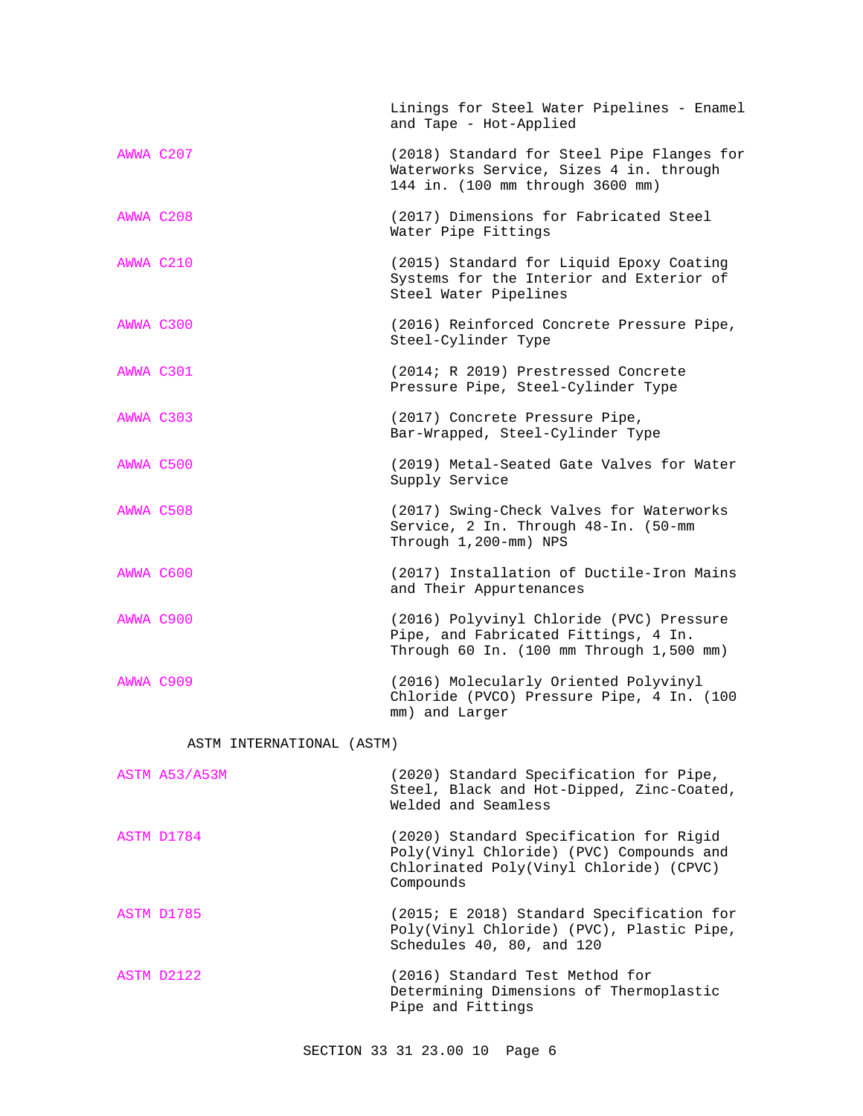|                           |               | Linings for Steel Water Pipelines - Enamel<br>and Tape - Hot-Applied                                                                        |
|---------------------------|---------------|---------------------------------------------------------------------------------------------------------------------------------------------|
| AWWA C207                 |               | (2018) Standard for Steel Pipe Flanges for<br>Waterworks Service, Sizes 4 in. through<br>144 in. (100 mm through 3600 mm)                   |
| AWWA C208                 |               | (2017) Dimensions for Fabricated Steel<br>Water Pipe Fittings                                                                               |
| AWWA C210                 |               | (2015) Standard for Liquid Epoxy Coating<br>Systems for the Interior and Exterior of<br>Steel Water Pipelines                               |
| AWWA C300                 |               | (2016) Reinforced Concrete Pressure Pipe,<br>Steel-Cylinder Type                                                                            |
| AWWA C301                 |               | (2014; R 2019) Prestressed Concrete<br>Pressure Pipe, Steel-Cylinder Type                                                                   |
| AWWA C303                 |               | (2017) Concrete Pressure Pipe,<br>Bar-Wrapped, Steel-Cylinder Type                                                                          |
| AWWA C500                 |               | (2019) Metal-Seated Gate Valves for Water<br>Supply Service                                                                                 |
| AWWA C508                 |               | (2017) Swing-Check Valves for Waterworks<br>Service, 2 In. Through 48-In. (50-mm<br>Through 1,200-mm) NPS                                   |
| AWWA C600                 |               | (2017) Installation of Ductile-Iron Mains<br>and Their Appurtenances                                                                        |
| AWWA C900                 |               | (2016) Polyvinyl Chloride (PVC) Pressure<br>Pipe, and Fabricated Fittings, 4 In.<br>Through 60 In. (100 mm Through 1,500 mm)                |
| AWWA C909                 |               | (2016) Molecularly Oriented Polyvinyl<br>Chloride (PVCO) Pressure Pipe, 4 In. (100<br>mm) and Larger                                        |
| ASTM INTERNATIONAL (ASTM) |               |                                                                                                                                             |
|                           | ASTM A53/A53M | (2020) Standard Specification for Pipe,<br>Steel, Black and Hot-Dipped, Zinc-Coated,<br>Welded and Seamless                                 |
|                           | ASTM D1784    | (2020) Standard Specification for Rigid<br>Poly(Vinyl Chloride) (PVC) Compounds and<br>Chlorinated Poly(Vinyl Chloride) (CPVC)<br>Compounds |
|                           | ASTM D1785    | (2015; E 2018) Standard Specification for                                                                                                   |

ASTM D2122 (2016) Standard Test Method for Determining Dimensions of Thermoplastic Pipe and Fittings

Poly(Vinyl Chloride) (PVC), Plastic Pipe,

Schedules 40, 80, and 120

SECTION 33 31 23.00 10 Page 6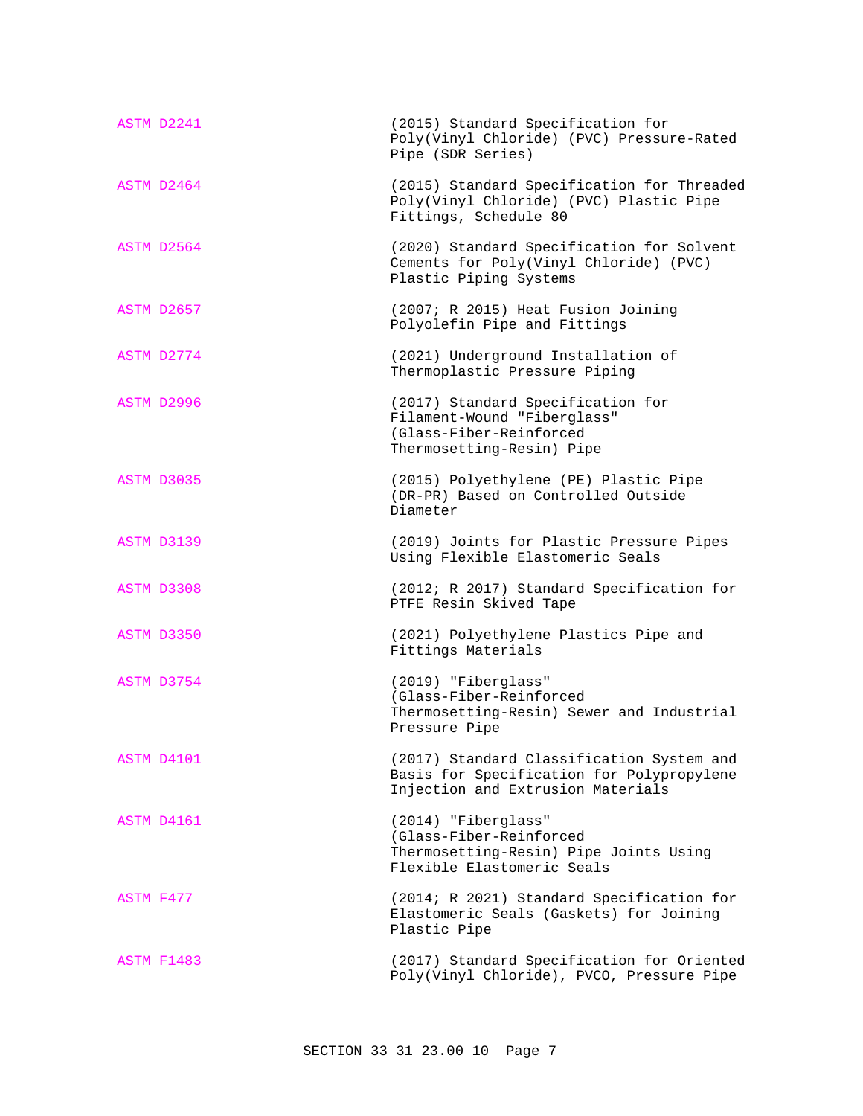| ASTM D2241        | (2015) Standard Specification for<br>Poly(Vinyl Chloride) (PVC) Pressure-Rated<br>Pipe (SDR Series)                         |
|-------------------|-----------------------------------------------------------------------------------------------------------------------------|
| ASTM D2464        | (2015) Standard Specification for Threaded<br>Poly(Vinyl Chloride) (PVC) Plastic Pipe<br>Fittings, Schedule 80              |
| ASTM D2564        | (2020) Standard Specification for Solvent<br>Cements for Poly(Vinyl Chloride) (PVC)<br>Plastic Piping Systems               |
| ASTM D2657        | (2007; R 2015) Heat Fusion Joining<br>Polyolefin Pipe and Fittings                                                          |
| ASTM D2774        | (2021) Underground Installation of<br>Thermoplastic Pressure Piping                                                         |
| ASTM D2996        | (2017) Standard Specification for<br>Filament-Wound "Fiberglass"<br>(Glass-Fiber-Reinforced<br>Thermosetting-Resin) Pipe    |
| ASTM D3035        | (2015) Polyethylene (PE) Plastic Pipe<br>(DR-PR) Based on Controlled Outside<br>Diameter                                    |
| ASTM D3139        | (2019) Joints for Plastic Pressure Pipes<br>Using Flexible Elastomeric Seals                                                |
| ASTM D3308        | (2012; R 2017) Standard Specification for<br>PTFE Resin Skived Tape                                                         |
| ASTM D3350        | (2021) Polyethylene Plastics Pipe and<br>Fittings Materials                                                                 |
| ASTM D3754        | (2019) "Fiberglass"<br>(Glass-Fiber-Reinforced<br>Thermosetting-Resin) Sewer and Industrial<br>Pressure Pipe                |
| ASTM D4101        | (2017) Standard Classification System and<br>Basis for Specification for Polypropylene<br>Injection and Extrusion Materials |
| ASTM D4161        | (2014) "Fiberglass"<br>(Glass-Fiber-Reinforced<br>Thermosetting-Resin) Pipe Joints Using<br>Flexible Elastomeric Seals      |
| ASTM F477         | (2014; R 2021) Standard Specification for<br>Elastomeric Seals (Gaskets) for Joining<br>Plastic Pipe                        |
| <b>ASTM F1483</b> | (2017) Standard Specification for Oriented<br>Poly(Vinyl Chloride), PVCO, Pressure Pipe                                     |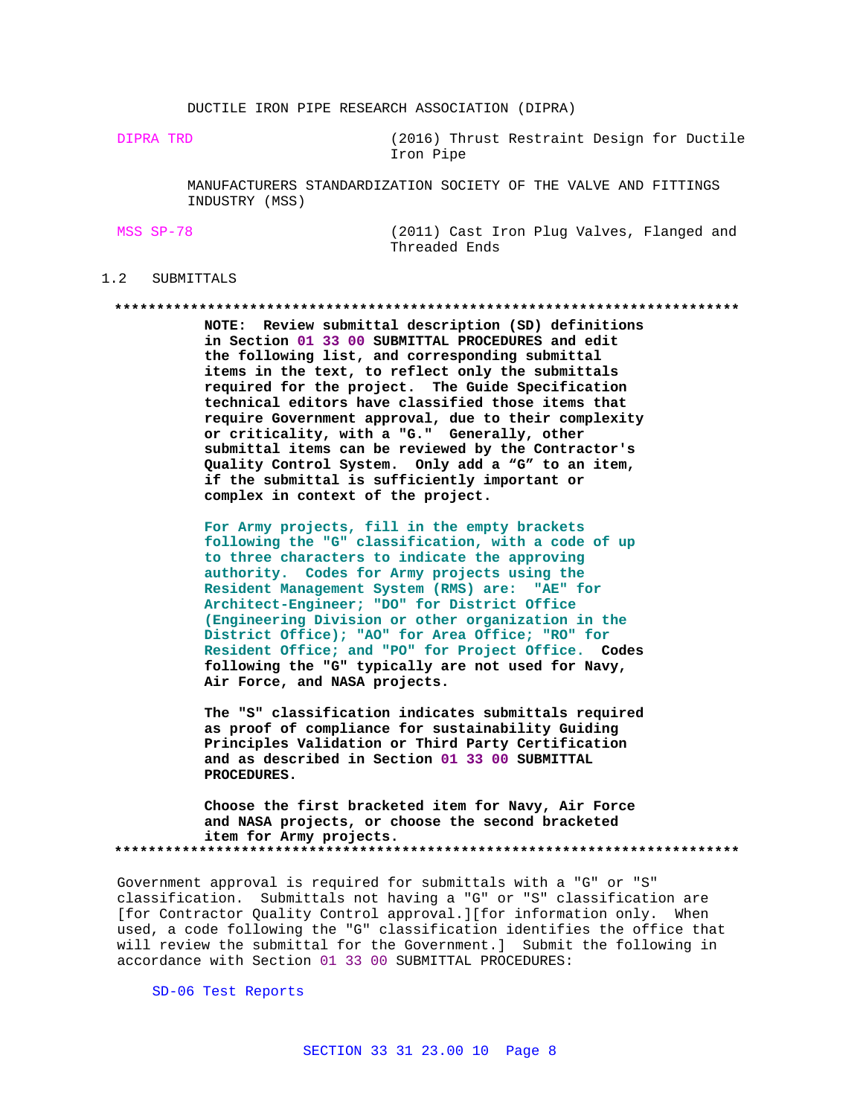DUCTILE IRON PIPE RESEARCH ASSOCIATION (DIPRA)

DIPRA TRD (2016) Thrust Restraint Design for Ductile Iron Pipe

> MANUFACTURERS STANDARDIZATION SOCIETY OF THE VALVE AND FITTINGS INDUSTRY (MSS)

MSS SP-78 (2011) Cast Iron Plug Valves, Flanged and Threaded Ends

## 1.2 SUBMITTALS

**\*\*\*\*\*\*\*\*\*\*\*\*\*\*\*\*\*\*\*\*\*\*\*\*\*\*\*\*\*\*\*\*\*\*\*\*\*\*\*\*\*\*\*\*\*\*\*\*\*\*\*\*\*\*\*\*\*\*\*\*\*\*\*\*\*\*\*\*\*\*\*\*\*\***

**NOTE: Review submittal description (SD) definitions in Section 01 33 00 SUBMITTAL PROCEDURES and edit the following list, and corresponding submittal items in the text, to reflect only the submittals required for the project. The Guide Specification technical editors have classified those items that require Government approval, due to their complexity or criticality, with a "G." Generally, other submittal items can be reviewed by the Contractor's Quality Control System. Only add a "G" to an item, if the submittal is sufficiently important or complex in context of the project.**

**For Army projects, fill in the empty brackets following the "G" classification, with a code of up to three characters to indicate the approving authority. Codes for Army projects using the Resident Management System (RMS) are: "AE" for Architect-Engineer; "DO" for District Office (Engineering Division or other organization in the District Office); "AO" for Area Office; "RO" for Resident Office; and "PO" for Project Office. Codes following the "G" typically are not used for Navy, Air Force, and NASA projects.**

**The "S" classification indicates submittals required as proof of compliance for sustainability Guiding Principles Validation or Third Party Certification and as described in Section 01 33 00 SUBMITTAL PROCEDURES.**

**Choose the first bracketed item for Navy, Air Force and NASA projects, or choose the second bracketed item for Army projects. \*\*\*\*\*\*\*\*\*\*\*\*\*\*\*\*\*\*\*\*\*\*\*\*\*\*\*\*\*\*\*\*\*\*\*\*\*\*\*\*\*\*\*\*\*\*\*\*\*\*\*\*\*\*\*\*\*\*\*\*\*\*\*\*\*\*\*\*\*\*\*\*\*\***

Government approval is required for submittals with a "G" or "S" classification. Submittals not having a "G" or "S" classification are [for Contractor Quality Control approval.][for information only. When used, a code following the "G" classification identifies the office that will review the submittal for the Government.] Submit the following in accordance with Section 01 33 00 SUBMITTAL PROCEDURES:

SD-06 Test Reports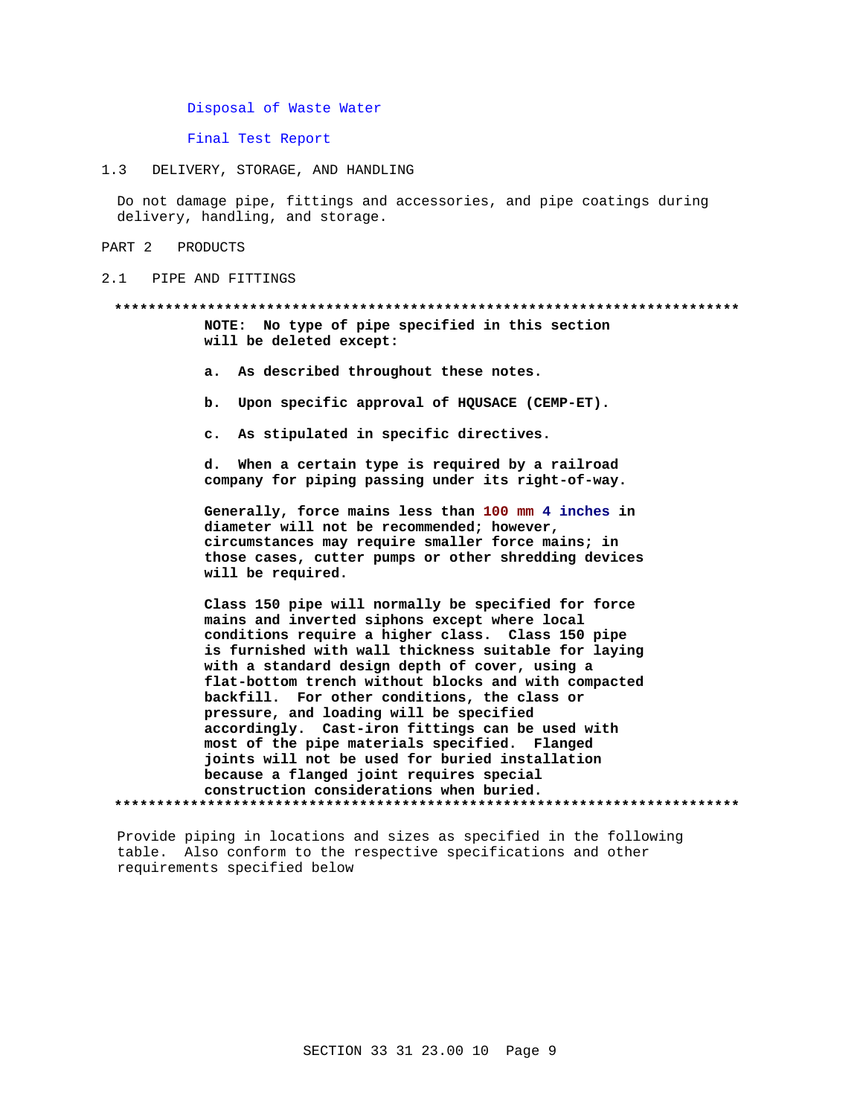Disposal of Waste Water

Final Test Report

 $1.3$ DELIVERY, STORAGE, AND HANDLING

Do not damage pipe, fittings and accessories, and pipe coatings during delivery, handling, and storage.

PART 2 PRODUCTS

 $2.1$ PIPE AND FITTINGS

# NOTE: No type of pipe specified in this section will be deleted except:

- a. As described throughout these notes.
- b. Upon specific approval of HQUSACE (CEMP-ET).
- c. As stipulated in specific directives.

d. When a certain type is required by a railroad company for piping passing under its right-of-way.

Generally, force mains less than 100 mm 4 inches in diameter will not be recommended; however, circumstances may require smaller force mains; in those cases, cutter pumps or other shredding devices will be required.

Class 150 pipe will normally be specified for force mains and inverted siphons except where local conditions require a higher class. Class 150 pipe is furnished with wall thickness suitable for laying with a standard design depth of cover, using a flat-bottom trench without blocks and with compacted backfill. For other conditions, the class or pressure, and loading will be specified accordingly. Cast-iron fittings can be used with most of the pipe materials specified. Flanged joints will not be used for buried installation because a flanged joint requires special construction considerations when buried. 

Provide piping in locations and sizes as specified in the following table. Also conform to the respective specifications and other requirements specified below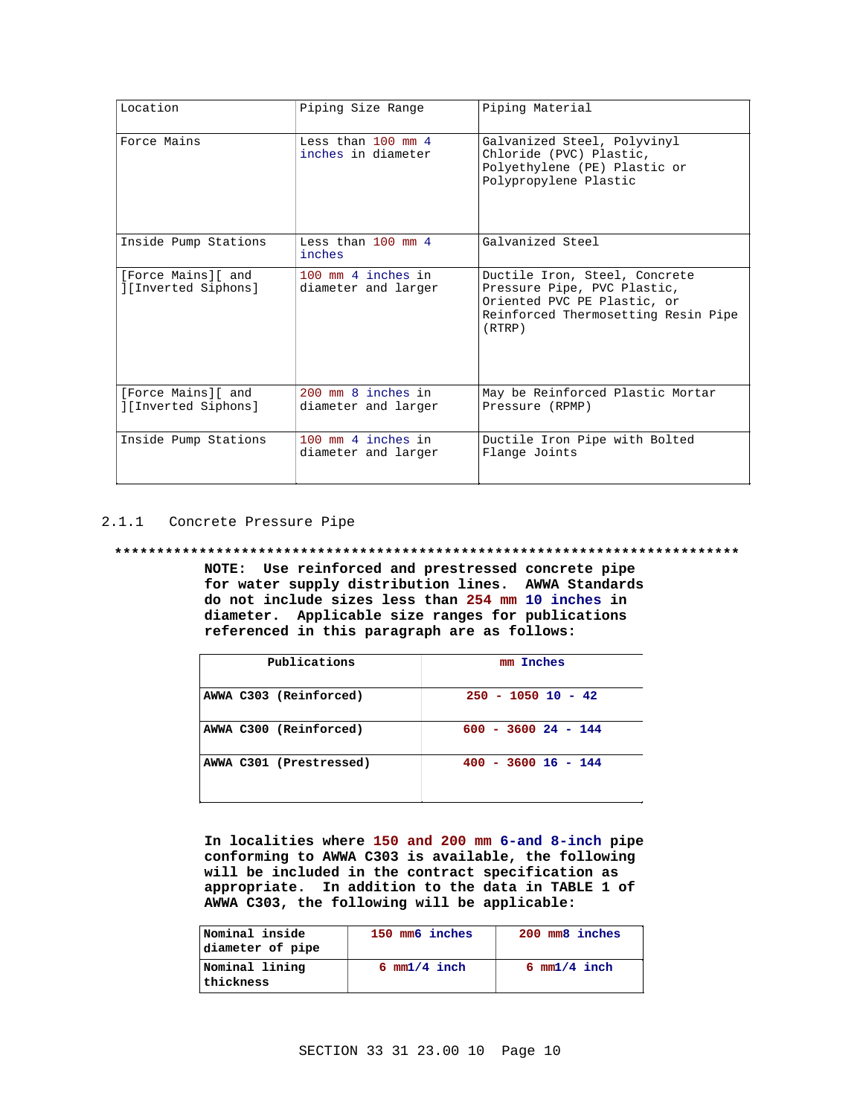| Location                                 | Piping Size Range                                  | Piping Material                                                                                                                              |
|------------------------------------------|----------------------------------------------------|----------------------------------------------------------------------------------------------------------------------------------------------|
| Force Mains                              | Less than $100 \text{ mm}$ 4<br>inches in diameter | Galvanized Steel, Polyvinyl<br>Chloride (PVC) Plastic,<br>Polyethylene (PE) Plastic or<br>Polypropylene Plastic                              |
| Inside Pump Stations                     | Less than $100 \text{ mm}$ 4<br>inches             | Galvanized Steel                                                                                                                             |
| [Force Mains][ and<br>[Inverted Siphons] | 100 mm 4 inches in<br>diameter and larger          | Ductile Iron, Steel, Concrete<br>Pressure Pipe, PVC Plastic,<br>Oriented PVC PE Plastic, or<br>Reinforced Thermosetting Resin Pipe<br>(RTRP) |
| [Force Mains][ and<br>[Inverted Siphons] | 200 mm 8 inches in<br>diameter and larger          | May be Reinforced Plastic Mortar<br>Pressure (RPMP)                                                                                          |
| Inside Pump Stations                     | 100 mm 4 inches in<br>diameter and larger          | Ductile Iron Pipe with Bolted<br>Flange Joints                                                                                               |

2.1.1 Concrete Pressure Pipe

## **\*\*\*\*\*\*\*\*\*\*\*\*\*\*\*\*\*\*\*\*\*\*\*\*\*\*\*\*\*\*\*\*\*\*\*\*\*\*\*\*\*\*\*\*\*\*\*\*\*\*\*\*\*\*\*\*\*\*\*\*\*\*\*\*\*\*\*\*\*\*\*\*\*\***

**NOTE: Use reinforced and prestressed concrete pipe for water supply distribution lines. AWWA Standards do not include sizes less than 254 mm 10 inches in diameter. Applicable size ranges for publications referenced in this paragraph are as follows:**

| Publications            | mm Inches             |
|-------------------------|-----------------------|
| AWWA C303 (Reinforced)  | $250 - 1050$ 10 - 42  |
| AWWA C300 (Reinforced)  | $600 - 3600 24 - 144$ |
| AWWA C301 (Prestressed) | $400 - 3600 16 - 144$ |

**In localities where 150 and 200 mm 6-and 8-inch pipe conforming to AWWA C303 is available, the following will be included in the contract specification as appropriate. In addition to the data in TABLE 1 of AWWA C303, the following will be applicable:**

| Nominal inside<br>diameter of pipe | 150 mm6 inches         | 200 mm8 inches         |
|------------------------------------|------------------------|------------------------|
| Nominal lining<br>thickness        | $6 \text{ mm}1/4$ inch | $6 \text{ mm}1/4$ inch |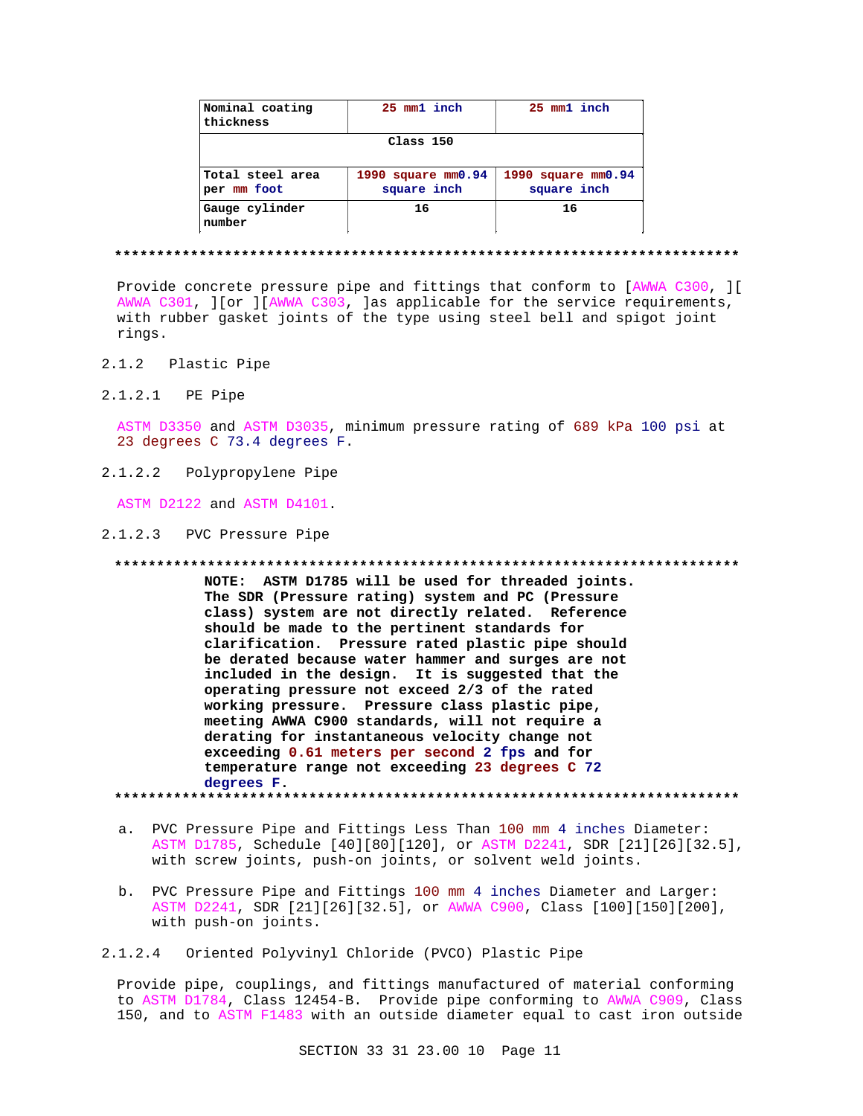| Nominal coating<br>thickness    | 25 mm1 inch                       | 25 mm1 inch                       |
|---------------------------------|-----------------------------------|-----------------------------------|
| Class 150                       |                                   |                                   |
| Total steel area<br>per mm foot | 1990 square mm0.94<br>square inch | 1990 square mm0.94<br>square inch |
| Gauge cylinder<br>number        | 16                                | 16                                |

#### **\*\*\*\*\*\*\*\*\*\*\*\*\*\*\*\*\*\*\*\*\*\*\*\*\*\*\*\*\*\*\*\*\*\*\*\*\*\*\*\*\*\*\*\*\*\*\*\*\*\*\*\*\*\*\*\*\*\*\*\*\*\*\*\*\*\*\*\*\*\*\*\*\*\***

Provide concrete pressure pipe and fittings that conform to [AWWA C300, ][ AWWA C301, ][or ][AWWA C303, ]as applicable for the service requirements, with rubber gasket joints of the type using steel bell and spigot joint rings.

- 2.1.2 Plastic Pipe
- 2.1.2.1 PE Pipe

ASTM D3350 and ASTM D3035, minimum pressure rating of 689 kPa 100 psi at 23 degrees C 73.4 degrees F.

2.1.2.2 Polypropylene Pipe

ASTM D2122 and ASTM D4101.

2.1.2.3 PVC Pressure Pipe

**\*\*\*\*\*\*\*\*\*\*\*\*\*\*\*\*\*\*\*\*\*\*\*\*\*\*\*\*\*\*\*\*\*\*\*\*\*\*\*\*\*\*\*\*\*\*\*\*\*\*\*\*\*\*\*\*\*\*\*\*\*\*\*\*\*\*\*\*\*\*\*\*\*\***

**NOTE: ASTM D1785 will be used for threaded joints. The SDR (Pressure rating) system and PC (Pressure class) system are not directly related. Reference should be made to the pertinent standards for clarification. Pressure rated plastic pipe should be derated because water hammer and surges are not included in the design. It is suggested that the operating pressure not exceed 2/3 of the rated working pressure. Pressure class plastic pipe, meeting AWWA C900 standards, will not require a derating for instantaneous velocity change not exceeding 0.61 meters per second 2 fps and for temperature range not exceeding 23 degrees C 72 degrees F.**

**\*\*\*\*\*\*\*\*\*\*\*\*\*\*\*\*\*\*\*\*\*\*\*\*\*\*\*\*\*\*\*\*\*\*\*\*\*\*\*\*\*\*\*\*\*\*\*\*\*\*\*\*\*\*\*\*\*\*\*\*\*\*\*\*\*\*\*\*\*\*\*\*\*\***

- a. PVC Pressure Pipe and Fittings Less Than 100 mm 4 inches Diameter: ASTM D1785, Schedule [40][80][120], or ASTM D2241, SDR [21][26][32.5], with screw joints, push-on joints, or solvent weld joints.
- b. PVC Pressure Pipe and Fittings 100 mm 4 inches Diameter and Larger: ASTM D2241, SDR [21][26][32.5], or AWWA C900, Class [100][150][200], with push-on joints.
- 2.1.2.4 Oriented Polyvinyl Chloride (PVCO) Plastic Pipe

Provide pipe, couplings, and fittings manufactured of material conforming to ASTM D1784, Class 12454-B. Provide pipe conforming to AWWA C909, Class 150, and to ASTM F1483 with an outside diameter equal to cast iron outside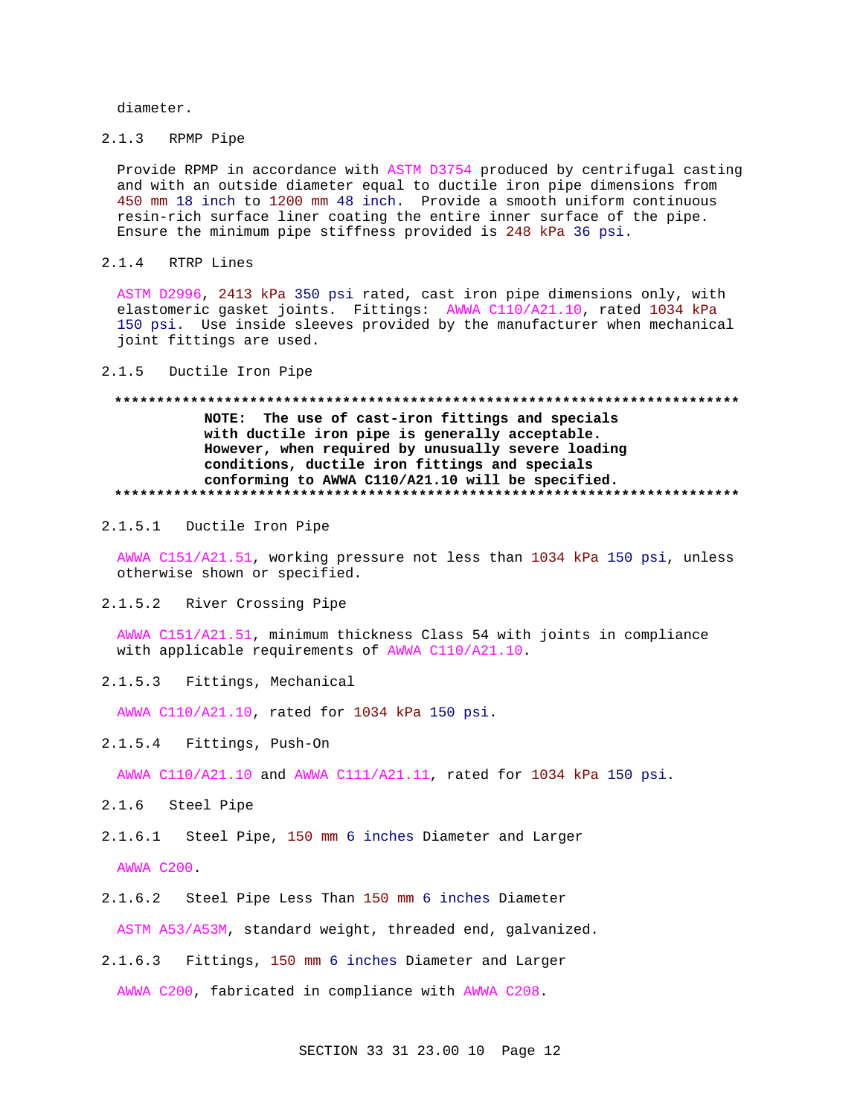diameter.

2.1.3 RPMP Pipe

Provide RPMP in accordance with ASTM D3754 produced by centrifugal casting and with an outside diameter equal to ductile iron pipe dimensions from 450 mm 18 inch to 1200 mm 48 inch. Provide a smooth uniform continuous resin-rich surface liner coating the entire inner surface of the pipe. Ensure the minimum pipe stiffness provided is 248 kPa 36 psi.

2.1.4 RTRP Lines

ASTM D2996, 2413 kPa 350 psi rated, cast iron pipe dimensions only, with elastomeric gasket joints. Fittings: AWWA C110/A21.10, rated 1034 kPa 150 psi. Use inside sleeves provided by the manufacturer when mechanical joint fittings are used.

### 2.1.5 Ductile Iron Pipe

# **\*\*\*\*\*\*\*\*\*\*\*\*\*\*\*\*\*\*\*\*\*\*\*\*\*\*\*\*\*\*\*\*\*\*\*\*\*\*\*\*\*\*\*\*\*\*\*\*\*\*\*\*\*\*\*\*\*\*\*\*\*\*\*\*\*\*\*\*\*\*\*\*\*\* NOTE: The use of cast-iron fittings and specials with ductile iron pipe is generally acceptable. However, when required by unusually severe loading conditions, ductile iron fittings and specials conforming to AWWA C110/A21.10 will be specified. \*\*\*\*\*\*\*\*\*\*\*\*\*\*\*\*\*\*\*\*\*\*\*\*\*\*\*\*\*\*\*\*\*\*\*\*\*\*\*\*\*\*\*\*\*\*\*\*\*\*\*\*\*\*\*\*\*\*\*\*\*\*\*\*\*\*\*\*\*\*\*\*\*\***

2.1.5.1 Ductile Iron Pipe

AWWA C151/A21.51, working pressure not less than 1034 kPa 150 psi, unless otherwise shown or specified.

2.1.5.2 River Crossing Pipe

AWWA C151/A21.51, minimum thickness Class 54 with joints in compliance with applicable requirements of AWWA C110/A21.10.

2.1.5.3 Fittings, Mechanical

AWWA C110/A21.10, rated for 1034 kPa 150 psi.

2.1.5.4 Fittings, Push-On

AWWA C110/A21.10 and AWWA C111/A21.11, rated for 1034 kPa 150 psi.

- 2.1.6 Steel Pipe
- 2.1.6.1 Steel Pipe, 150 mm 6 inches Diameter and Larger

AWWA C200.

2.1.6.2 Steel Pipe Less Than 150 mm 6 inches Diameter

ASTM A53/A53M, standard weight, threaded end, galvanized.

2.1.6.3 Fittings, 150 mm 6 inches Diameter and Larger

AWWA C200, fabricated in compliance with AWWA C208.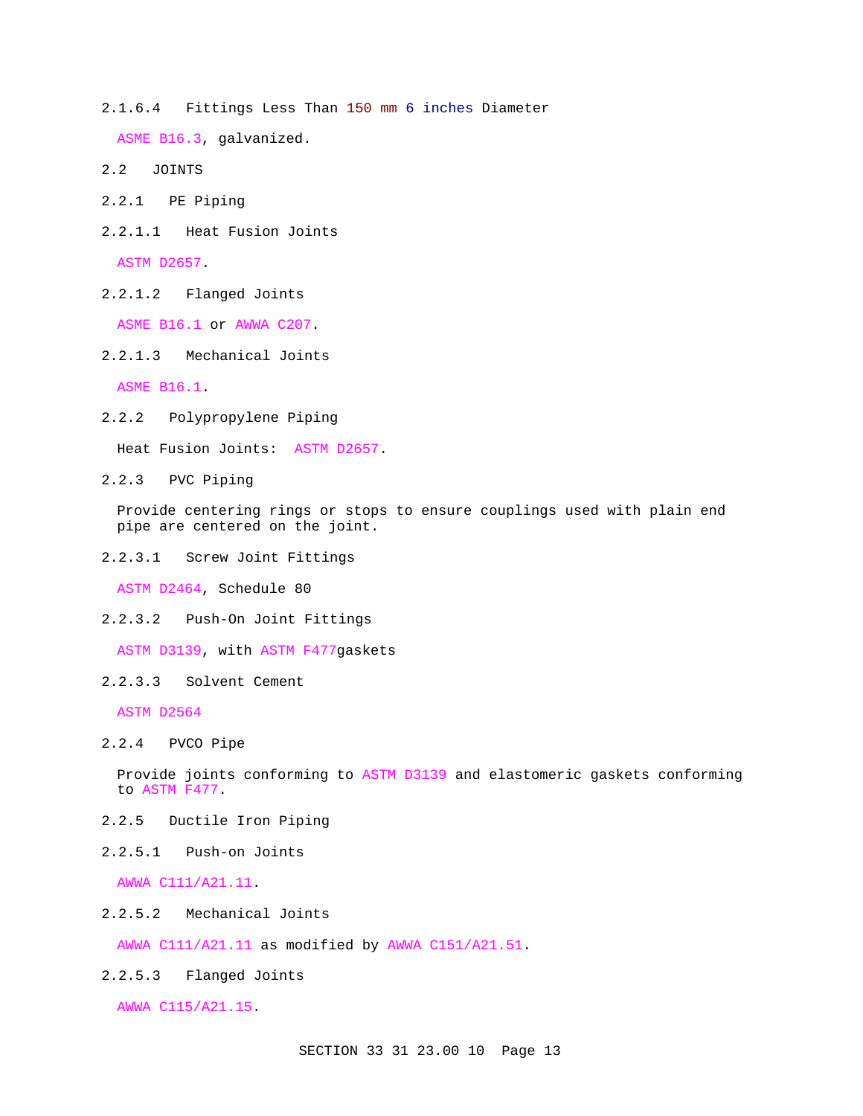2.1.6.4 Fittings Less Than 150 mm 6 inches Diameter

ASME B16.3, galvanized.

- 2.2 JOINTS
- 2.2.1 PE Piping
- 2.2.1.1 Heat Fusion Joints

ASTM D2657.

2.2.1.2 Flanged Joints

ASME B16.1 or AWWA C207.

2.2.1.3 Mechanical Joints

ASME B16.1.

2.2.2 Polypropylene Piping

Heat Fusion Joints: ASTM D2657.

2.2.3 PVC Piping

Provide centering rings or stops to ensure couplings used with plain end pipe are centered on the joint.

2.2.3.1 Screw Joint Fittings

ASTM D2464, Schedule 80

2.2.3.2 Push-On Joint Fittings

ASTM D3139, with ASTM F477gaskets

2.2.3.3 Solvent Cement

ASTM D2564

2.2.4 PVCO Pipe

Provide joints conforming to ASTM D3139 and elastomeric gaskets conforming to ASTM F477.

- 2.2.5 Ductile Iron Piping
- 2.2.5.1 Push-on Joints

AWWA C111/A21.11.

2.2.5.2 Mechanical Joints

AWWA C111/A21.11 as modified by AWWA C151/A21.51.

2.2.5.3 Flanged Joints

AWWA C115/A21.15.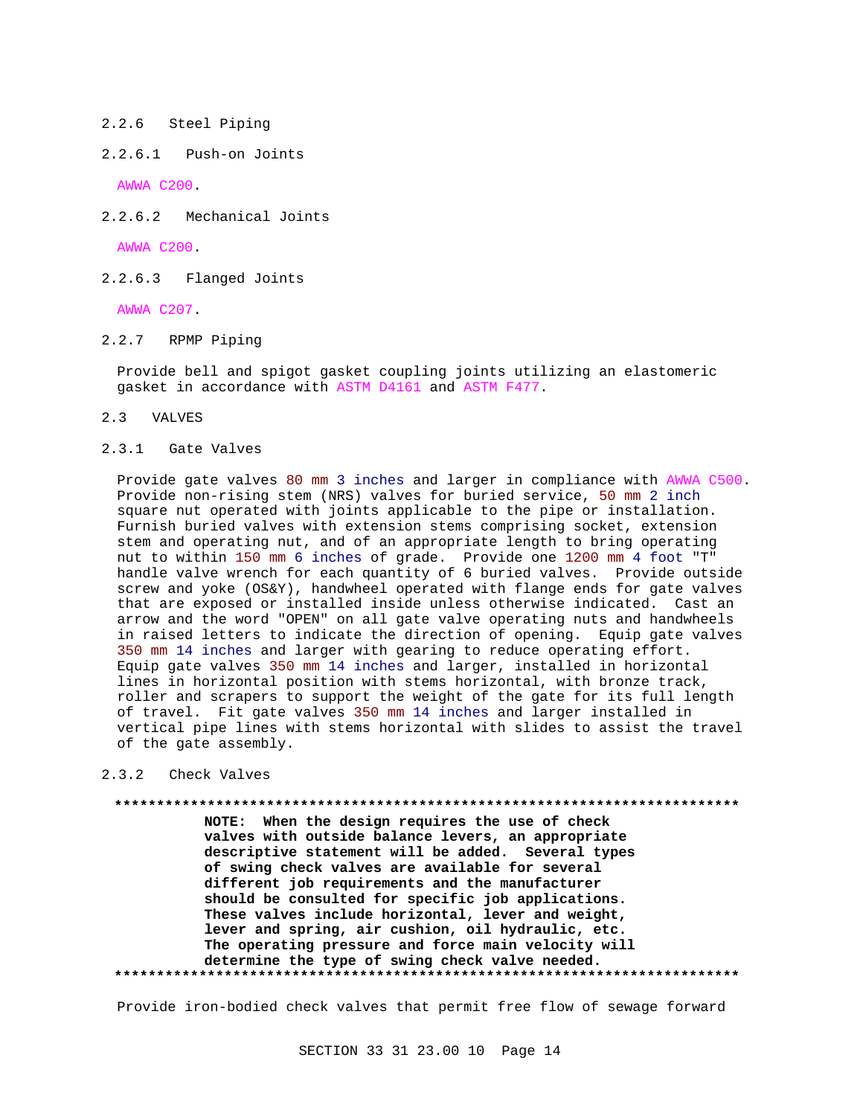## 2.2.6 Steel Piping

# 2.2.6.1 Push-on Joints

AWWA C200.

2.2.6.2 Mechanical Joints

AWWA C200.

2.2.6.3 Flanged Joints

AWWA C207.

2.2.7 RPMP Piping

Provide bell and spigot gasket coupling joints utilizing an elastomeric gasket in accordance with ASTM D4161 and ASTM F477.

- 2.3 VALVES
- 2.3.1 Gate Valves

Provide gate valves 80 mm 3 inches and larger in compliance with AWWA C500. Provide non-rising stem (NRS) valves for buried service, 50 mm 2 inch square nut operated with joints applicable to the pipe or installation. Furnish buried valves with extension stems comprising socket, extension stem and operating nut, and of an appropriate length to bring operating nut to within 150 mm 6 inches of grade. Provide one 1200 mm 4 foot "T" handle valve wrench for each quantity of 6 buried valves. Provide outside screw and yoke (OS&Y), handwheel operated with flange ends for gate valves that are exposed or installed inside unless otherwise indicated. Cast an arrow and the word "OPEN" on all gate valve operating nuts and handwheels in raised letters to indicate the direction of opening. Equip gate valves 350 mm 14 inches and larger with gearing to reduce operating effort. Equip gate valves 350 mm 14 inches and larger, installed in horizontal lines in horizontal position with stems horizontal, with bronze track, roller and scrapers to support the weight of the gate for its full length of travel. Fit gate valves 350 mm 14 inches and larger installed in vertical pipe lines with stems horizontal with slides to assist the travel of the gate assembly.

## 2.3.2 Check Valves

**\*\*\*\*\*\*\*\*\*\*\*\*\*\*\*\*\*\*\*\*\*\*\*\*\*\*\*\*\*\*\*\*\*\*\*\*\*\*\*\*\*\*\*\*\*\*\*\*\*\*\*\*\*\*\*\*\*\*\*\*\*\*\*\*\*\*\*\*\*\*\*\*\*\***

**NOTE: When the design requires the use of check valves with outside balance levers, an appropriate descriptive statement will be added. Several types of swing check valves are available for several different job requirements and the manufacturer should be consulted for specific job applications. These valves include horizontal, lever and weight, lever and spring, air cushion, oil hydraulic, etc. The operating pressure and force main velocity will determine the type of swing check valve needed. \*\*\*\*\*\*\*\*\*\*\*\*\*\*\*\*\*\*\*\*\*\*\*\*\*\*\*\*\*\*\*\*\*\*\*\*\*\*\*\*\*\*\*\*\*\*\*\*\*\*\*\*\*\*\*\*\*\*\*\*\*\*\*\*\*\*\*\*\*\*\*\*\*\***

Provide iron-bodied check valves that permit free flow of sewage forward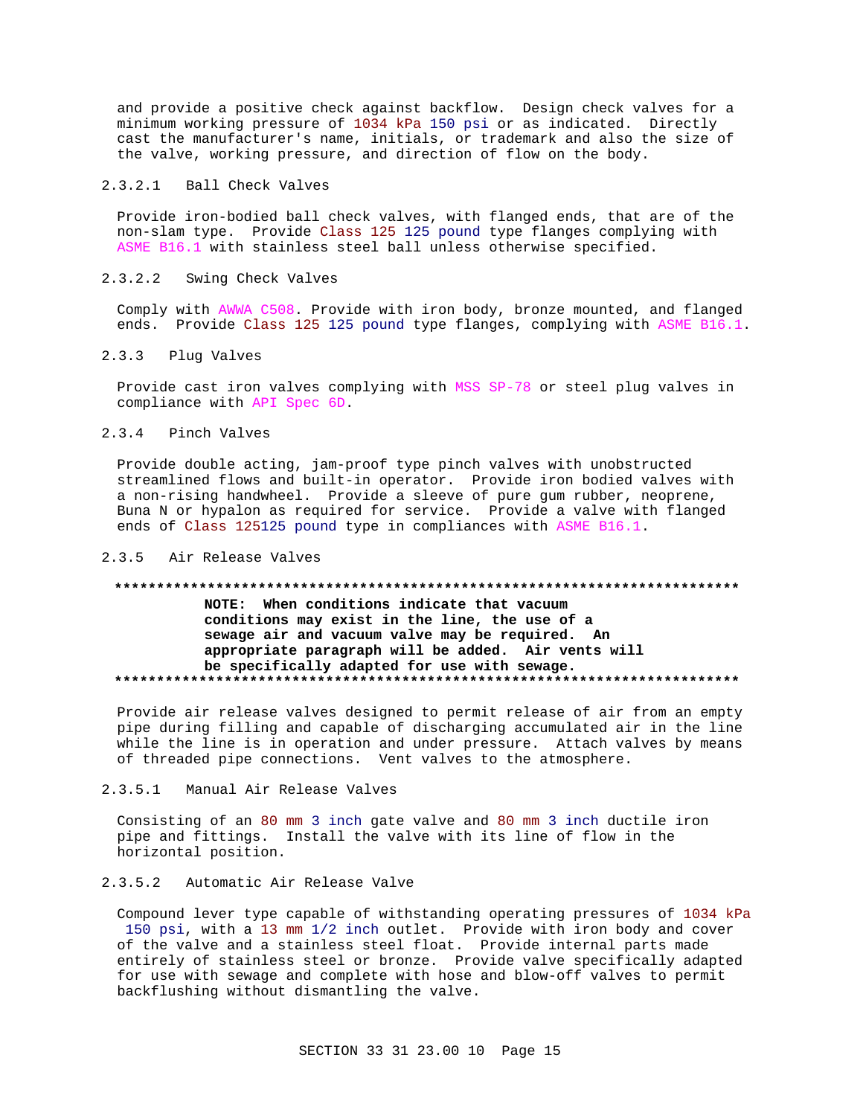and provide a positive check against backflow. Design check valves for a minimum working pressure of 1034 kPa 150 psi or as indicated. Directly cast the manufacturer's name, initials, or trademark and also the size of the valve, working pressure, and direction of flow on the body.

## 2.3.2.1 Ball Check Valves

Provide iron-bodied ball check valves, with flanged ends, that are of the non-slam type. Provide Class 125 125 pound type flanges complying with ASME B16.1 with stainless steel ball unless otherwise specified.

## 2.3.2.2 Swing Check Valves

Comply with AWWA C508. Provide with iron body, bronze mounted, and flanged ends. Provide Class 125 125 pound type flanges, complying with ASME B16.1.

#### 2.3.3 Plug Valves

Provide cast iron valves complying with MSS SP-78 or steel plug valves in compliance with API Spec 6D.

# 2.3.4 Pinch Valves

Provide double acting, jam-proof type pinch valves with unobstructed streamlined flows and built-in operator. Provide iron bodied valves with a non-rising handwheel. Provide a sleeve of pure gum rubber, neoprene, Buna N or hypalon as required for service. Provide a valve with flanged ends of Class 125125 pound type in compliances with ASME B16.1.

#### 2.3.5 Air Release Valves

# **\*\*\*\*\*\*\*\*\*\*\*\*\*\*\*\*\*\*\*\*\*\*\*\*\*\*\*\*\*\*\*\*\*\*\*\*\*\*\*\*\*\*\*\*\*\*\*\*\*\*\*\*\*\*\*\*\*\*\*\*\*\*\*\*\*\*\*\*\*\*\*\*\*\* NOTE: When conditions indicate that vacuum conditions may exist in the line, the use of a sewage air and vacuum valve may be required. An appropriate paragraph will be added. Air vents will be specifically adapted for use with sewage. \*\*\*\*\*\*\*\*\*\*\*\*\*\*\*\*\*\*\*\*\*\*\*\*\*\*\*\*\*\*\*\*\*\*\*\*\*\*\*\*\*\*\*\*\*\*\*\*\*\*\*\*\*\*\*\*\*\*\*\*\*\*\*\*\*\*\*\*\*\*\*\*\*\***

Provide air release valves designed to permit release of air from an empty pipe during filling and capable of discharging accumulated air in the line while the line is in operation and under pressure. Attach valves by means of threaded pipe connections. Vent valves to the atmosphere.

### 2.3.5.1 Manual Air Release Valves

Consisting of an 80 mm 3 inch gate valve and 80 mm 3 inch ductile iron pipe and fittings. Install the valve with its line of flow in the horizontal position.

# 2.3.5.2 Automatic Air Release Valve

Compound lever type capable of withstanding operating pressures of 1034 kPa 150 psi, with a 13 mm 1/2 inch outlet. Provide with iron body and cover of the valve and a stainless steel float. Provide internal parts made entirely of stainless steel or bronze. Provide valve specifically adapted for use with sewage and complete with hose and blow-off valves to permit backflushing without dismantling the valve.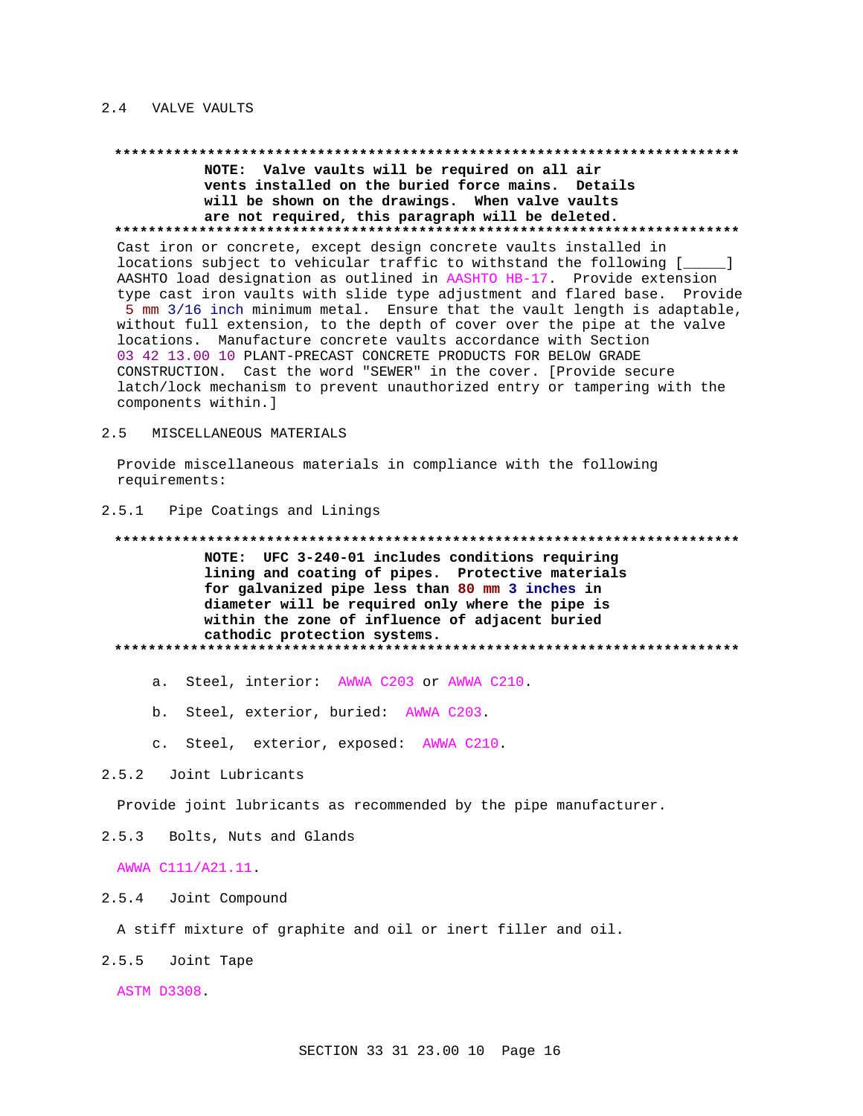## 2.4 VALVE VAULTS

#### 

NOTE: Valve vaults will be required on all air vents installed on the buried force mains. Details will be shown on the drawings. When valve vaults are not required, this paragraph will be deleted. Cast iron or concrete, except design concrete vaults installed in locations subject to vehicular traffic to withstand the following [  $\Box$ AASHTO load designation as outlined in AASHTO HB-17. Provide extension type cast iron vaults with slide type adjustment and flared base. Provide 5 mm 3/16 inch minimum metal. Ensure that the vault length is adaptable, without full extension, to the depth of cover over the pipe at the valve locations. Manufacture concrete vaults accordance with Section 03 42 13.00 10 PLANT-PRECAST CONCRETE PRODUCTS FOR BELOW GRADE CONSTRUCTION. Cast the word "SEWER" in the cover. [Provide secure latch/lock mechanism to prevent unauthorized entry or tampering with the components within.]

#### $2.5$ MISCELLANEOUS MATERIALS

Provide miscellaneous materials in compliance with the following requirements:

#### 2.5.1 Pipe Coatings and Linings

# NOTE: UFC 3-240-01 includes conditions requiring lining and coating of pipes. Protective materials for galvanized pipe less than 80 mm 3 inches in diameter will be required only where the pipe is within the zone of influence of adjacent buried cathodic protection systems.

- a. Steel, interior: AWWA C203 or AWWA C210.
- b. Steel, exterior, buried: AWWA C203.
- c. Steel, exterior, exposed: AWWA C210.

## 2.5.2 Joint Lubricants

Provide joint lubricants as recommended by the pipe manufacturer.

Bolts, Nuts and Glands  $2.5.3$ 

AWWA C111/A21.11.

## 2.5.4 Joint Compound

A stiff mixture of graphite and oil or inert filler and oil.

2.5.5 Joint Tape

**ASTM D3308.**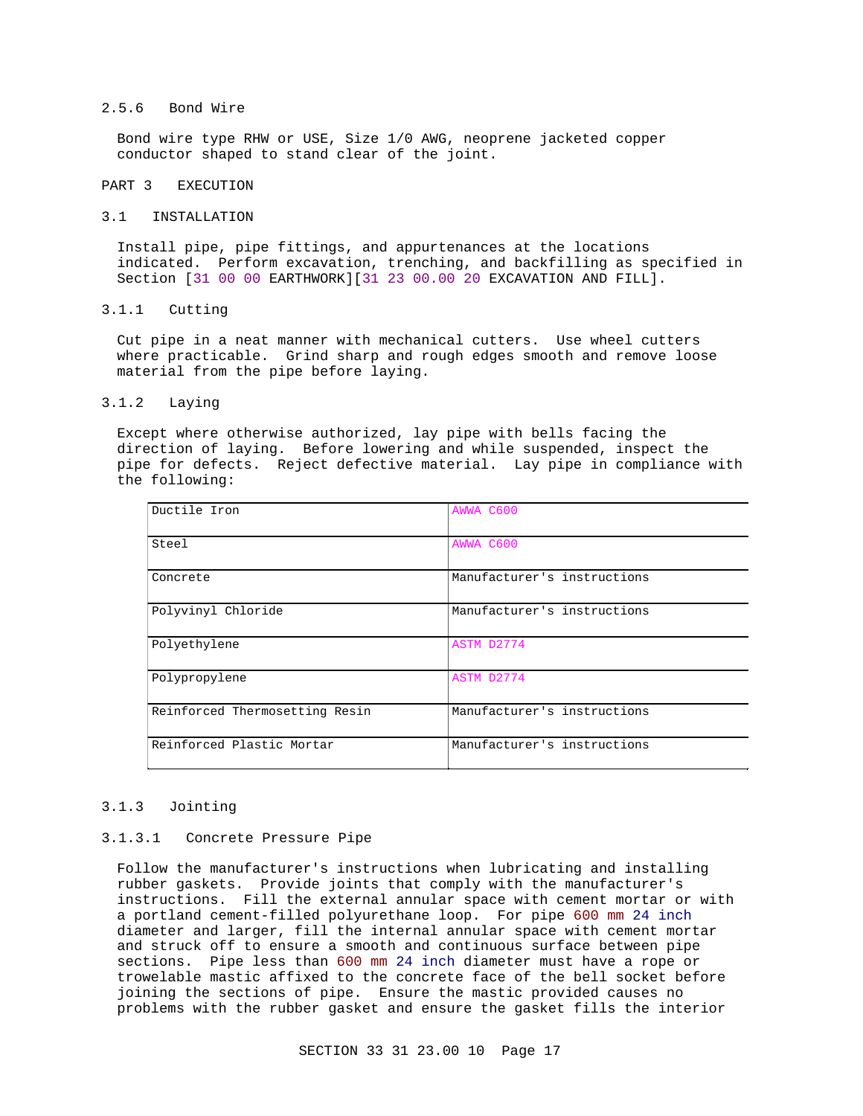## 2.5.6 Bond Wire

Bond wire type RHW or USE, Size 1/0 AWG, neoprene jacketed copper conductor shaped to stand clear of the joint.

## PART 3 EXECUTION

#### 3.1 INSTALLATION

Install pipe, pipe fittings, and appurtenances at the locations indicated. Perform excavation, trenching, and backfilling as specified in Section [31 00 00 EARTHWORK][31 23 00.00 20 EXCAVATION AND FILL].

#### 3.1.1 Cutting

Cut pipe in a neat manner with mechanical cutters. Use wheel cutters where practicable. Grind sharp and rough edges smooth and remove loose material from the pipe before laying.

#### 3.1.2 Laying

Except where otherwise authorized, lay pipe with bells facing the direction of laying. Before lowering and while suspended, inspect the pipe for defects. Reject defective material. Lay pipe in compliance with the following:

| Ductile Iron                   | AWWA C600                   |
|--------------------------------|-----------------------------|
| Steel                          | AWWA C600                   |
| Concrete                       | Manufacturer's instructions |
| Polyvinyl Chloride             | Manufacturer's instructions |
| Polyethylene                   | ASTM D2774                  |
| Polypropylene                  | ASTM D2774                  |
| Reinforced Thermosetting Resin | Manufacturer's instructions |
| Reinforced Plastic Mortar      | Manufacturer's instructions |

### 3.1.3 Jointing

#### 3.1.3.1 Concrete Pressure Pipe

Follow the manufacturer's instructions when lubricating and installing rubber gaskets. Provide joints that comply with the manufacturer's instructions. Fill the external annular space with cement mortar or with a portland cement-filled polyurethane loop. For pipe 600 mm 24 inch diameter and larger, fill the internal annular space with cement mortar and struck off to ensure a smooth and continuous surface between pipe sections. Pipe less than 600 mm 24 inch diameter must have a rope or trowelable mastic affixed to the concrete face of the bell socket before joining the sections of pipe. Ensure the mastic provided causes no problems with the rubber gasket and ensure the gasket fills the interior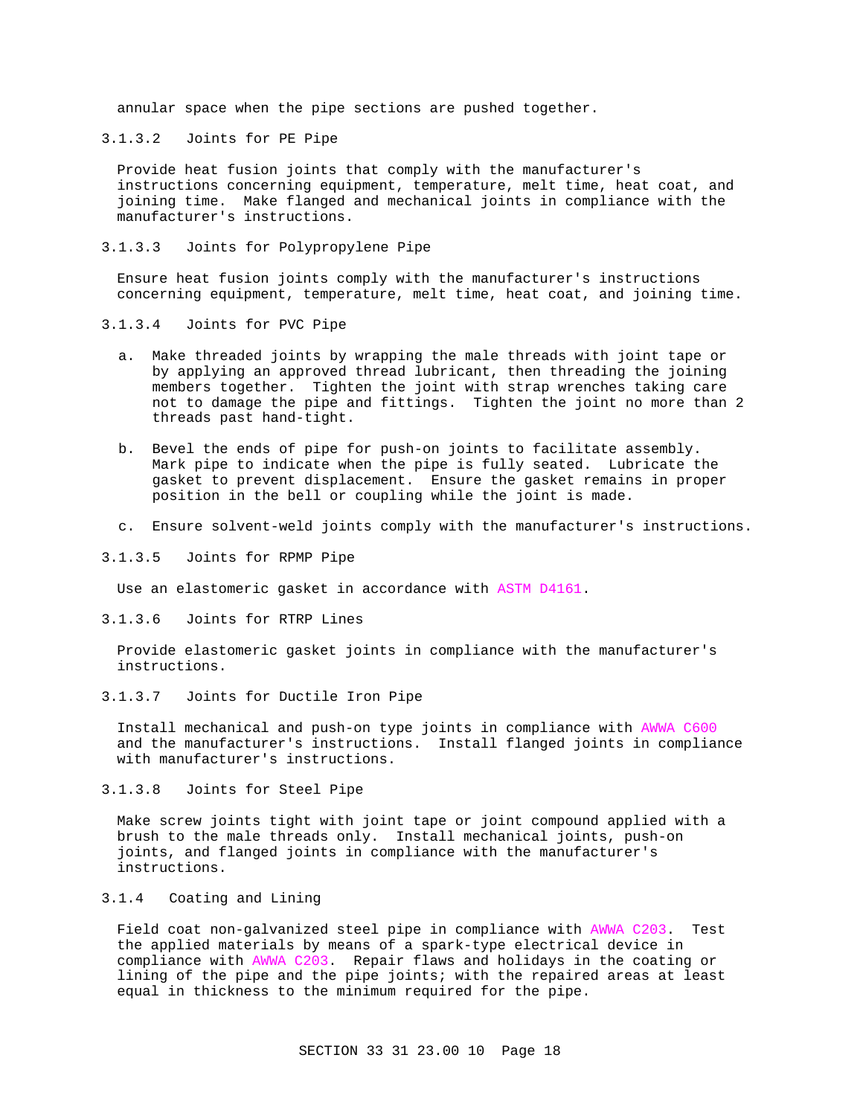annular space when the pipe sections are pushed together.

3.1.3.2 Joints for PE Pipe

Provide heat fusion joints that comply with the manufacturer's instructions concerning equipment, temperature, melt time, heat coat, and joining time. Make flanged and mechanical joints in compliance with the manufacturer's instructions.

3.1.3.3 Joints for Polypropylene Pipe

Ensure heat fusion joints comply with the manufacturer's instructions concerning equipment, temperature, melt time, heat coat, and joining time.

- 3.1.3.4 Joints for PVC Pipe
	- a. Make threaded joints by wrapping the male threads with joint tape or by applying an approved thread lubricant, then threading the joining members together. Tighten the joint with strap wrenches taking care not to damage the pipe and fittings. Tighten the joint no more than 2 threads past hand-tight.
	- b. Bevel the ends of pipe for push-on joints to facilitate assembly. Mark pipe to indicate when the pipe is fully seated. Lubricate the gasket to prevent displacement. Ensure the gasket remains in proper position in the bell or coupling while the joint is made.
	- c. Ensure solvent-weld joints comply with the manufacturer's instructions.
- 3.1.3.5 Joints for RPMP Pipe

Use an elastomeric gasket in accordance with ASTM D4161.

3.1.3.6 Joints for RTRP Lines

Provide elastomeric gasket joints in compliance with the manufacturer's instructions.

3.1.3.7 Joints for Ductile Iron Pipe

Install mechanical and push-on type joints in compliance with AWWA C600 and the manufacturer's instructions. Install flanged joints in compliance with manufacturer's instructions.

3.1.3.8 Joints for Steel Pipe

Make screw joints tight with joint tape or joint compound applied with a brush to the male threads only. Install mechanical joints, push-on joints, and flanged joints in compliance with the manufacturer's instructions.

# 3.1.4 Coating and Lining

Field coat non-galvanized steel pipe in compliance with AWWA C203. Test the applied materials by means of a spark-type electrical device in compliance with AWWA C203. Repair flaws and holidays in the coating or lining of the pipe and the pipe joints; with the repaired areas at least equal in thickness to the minimum required for the pipe.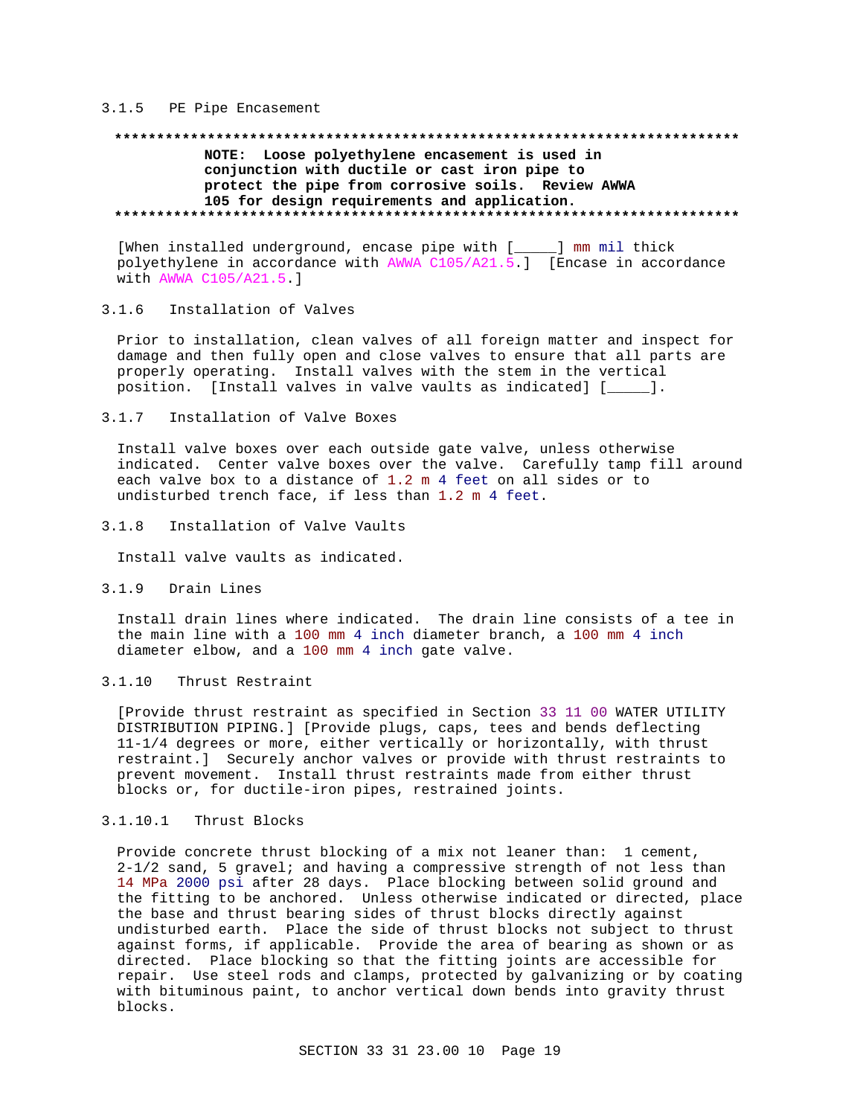### 3.1.5 PE Pipe Encasement

# **\*\*\*\*\*\*\*\*\*\*\*\*\*\*\*\*\*\*\*\*\*\*\*\*\*\*\*\*\*\*\*\*\*\*\*\*\*\*\*\*\*\*\*\*\*\*\*\*\*\*\*\*\*\*\*\*\*\*\*\*\*\*\*\*\*\*\*\*\*\*\*\*\*\* NOTE: Loose polyethylene encasement is used in conjunction with ductile or cast iron pipe to protect the pipe from corrosive soils. Review AWWA 105 for design requirements and application. \*\*\*\*\*\*\*\*\*\*\*\*\*\*\*\*\*\*\*\*\*\*\*\*\*\*\*\*\*\*\*\*\*\*\*\*\*\*\*\*\*\*\*\*\*\*\*\*\*\*\*\*\*\*\*\*\*\*\*\*\*\*\*\*\*\*\*\*\*\*\*\*\*\***

[When installed underground, encase pipe with [\_\_\_\_\_] mm mil thick polyethylene in accordance with AWWA C105/A21.5.] [Encase in accordance with AWWA C105/A21.5.]

# 3.1.6 Installation of Valves

Prior to installation, clean valves of all foreign matter and inspect for damage and then fully open and close valves to ensure that all parts are properly operating. Install valves with the stem in the vertical position. [Install valves in valve vaults as indicated] [\_\_\_\_\_].

#### 3.1.7 Installation of Valve Boxes

Install valve boxes over each outside gate valve, unless otherwise indicated. Center valve boxes over the valve. Carefully tamp fill around each valve box to a distance of 1.2 m 4 feet on all sides or to undisturbed trench face, if less than 1.2 m 4 feet.

3.1.8 Installation of Valve Vaults

Install valve vaults as indicated.

3.1.9 Drain Lines

Install drain lines where indicated. The drain line consists of a tee in the main line with a 100 mm 4 inch diameter branch, a 100 mm 4 inch diameter elbow, and a 100 mm 4 inch gate valve.

# 3.1.10 Thrust Restraint

[Provide thrust restraint as specified in Section 33 11 00 WATER UTILITY DISTRIBUTION PIPING.] [Provide plugs, caps, tees and bends deflecting 11-1/4 degrees or more, either vertically or horizontally, with thrust restraint.] Securely anchor valves or provide with thrust restraints to prevent movement. Install thrust restraints made from either thrust blocks or, for ductile-iron pipes, restrained joints.

# 3.1.10.1 Thrust Blocks

Provide concrete thrust blocking of a mix not leaner than: 1 cement, 2-1/2 sand, 5 gravel; and having a compressive strength of not less than 14 MPa 2000 psi after 28 days. Place blocking between solid ground and the fitting to be anchored. Unless otherwise indicated or directed, place the base and thrust bearing sides of thrust blocks directly against undisturbed earth. Place the side of thrust blocks not subject to thrust against forms, if applicable. Provide the area of bearing as shown or as directed. Place blocking so that the fitting joints are accessible for repair. Use steel rods and clamps, protected by galvanizing or by coating with bituminous paint, to anchor vertical down bends into gravity thrust blocks.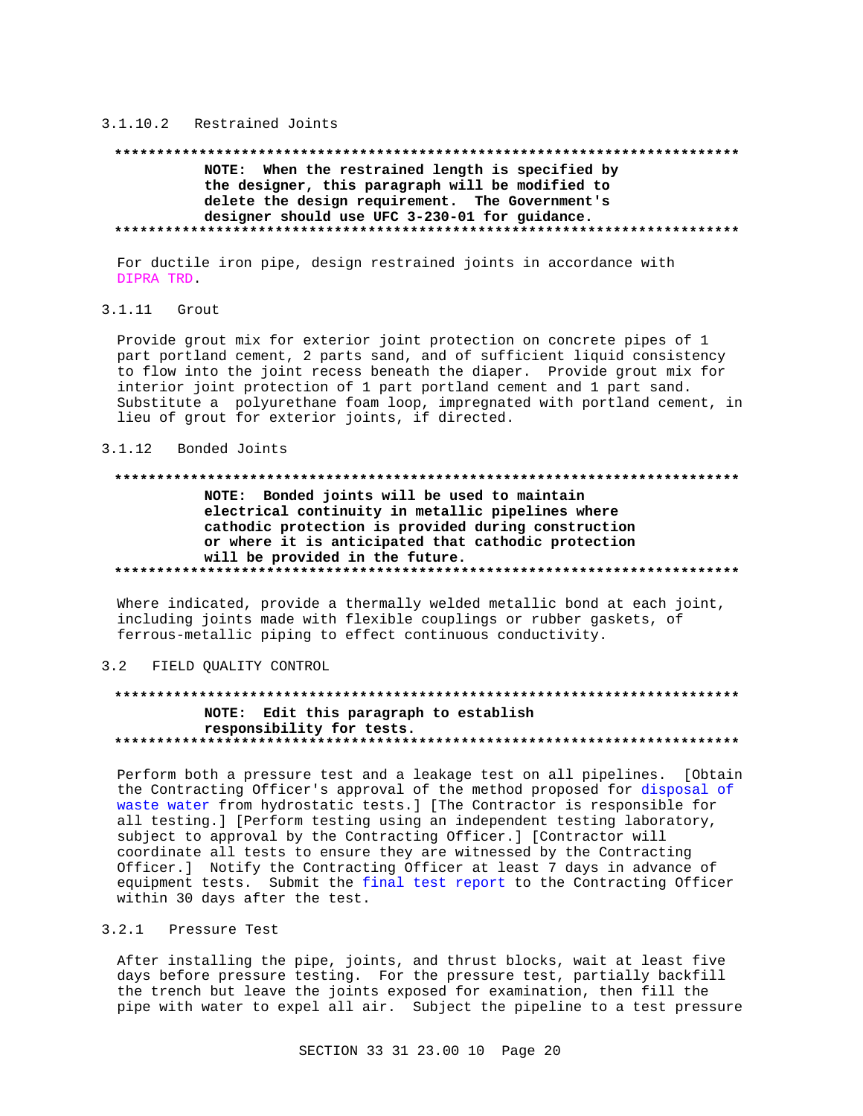#### 3.1.10.2 Restrained Joints

# NOTE: When the restrained length is specified by the designer, this paragraph will be modified to delete the design requirement. The Government's designer should use UFC 3-230-01 for guidance.

For ductile iron pipe, design restrained joints in accordance with DIPRA TRD.

#### $3.1.11$  Grout

Provide grout mix for exterior joint protection on concrete pipes of 1 part portland cement, 2 parts sand, and of sufficient liquid consistency to flow into the joint recess beneath the diaper. Provide grout mix for interior joint protection of 1 part portland cement and 1 part sand. Substitute a polyurethane foam loop, impregnated with portland cement, in lieu of grout for exterior joints, if directed.

#### 3.1.12 Bonded Joints

# NOTE: Bonded joints will be used to maintain electrical continuity in metallic pipelines where cathodic protection is provided during construction or where it is anticipated that cathodic protection will be provided in the future.

Where indicated, provide a thermally welded metallic bond at each joint, including joints made with flexible couplings or rubber gaskets, of ferrous-metallic piping to effect continuous conductivity.

#### $3.2$ FIELD OUALITY CONTROL

# NOTE: Edit this paragraph to establish responsibility for tests.

Perform both a pressure test and a leakage test on all pipelines. [Obtain the Contracting Officer's approval of the method proposed for disposal of waste water from hydrostatic tests.] [The Contractor is responsible for all testing. ] [Perform testing using an independent testing laboratory, subject to approval by the Contracting Officer.] [Contractor will coordinate all tests to ensure they are witnessed by the Contracting Officer.] Notify the Contracting Officer at least 7 days in advance of equipment tests. Submit the final test report to the Contracting Officer within 30 days after the test.

# 3.2.1 Pressure Test

After installing the pipe, joints, and thrust blocks, wait at least five days before pressure testing. For the pressure test, partially backfill the trench but leave the joints exposed for examination, then fill the pipe with water to expel all air. Subject the pipeline to a test pressure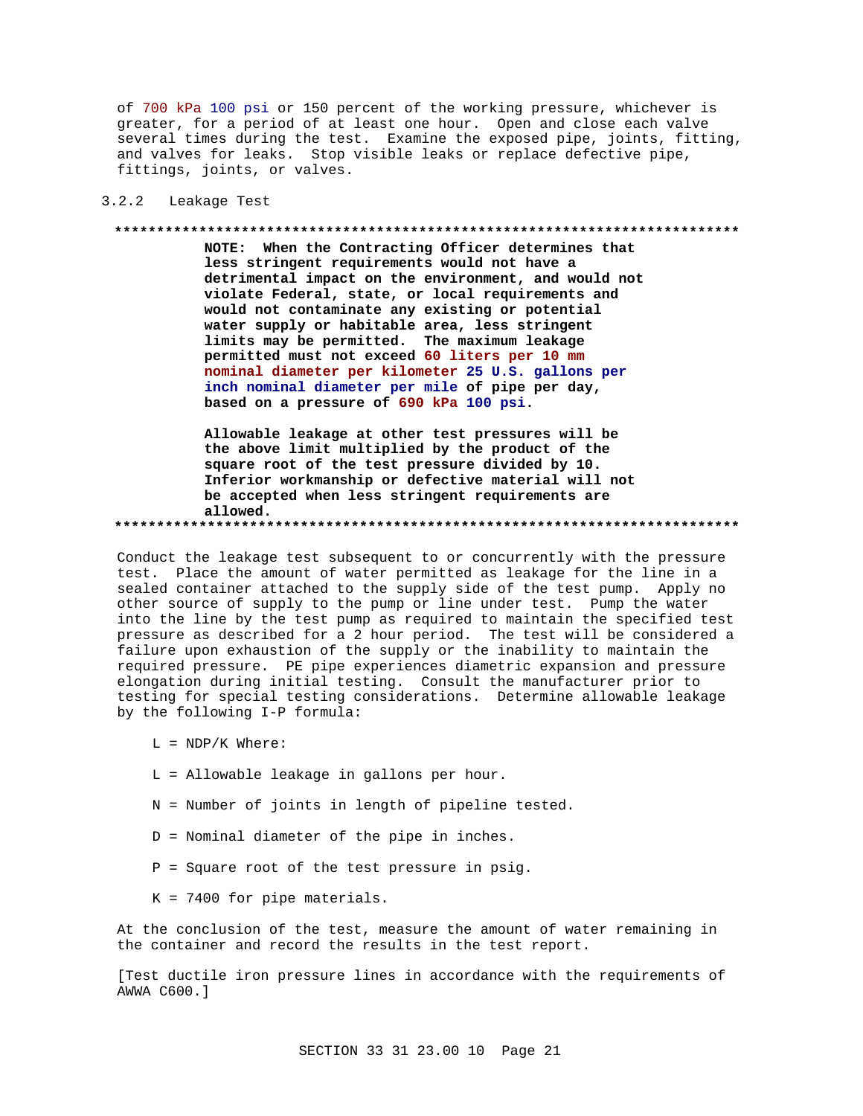of 700 kPa 100 psi or 150 percent of the working pressure, whichever is greater, for a period of at least one hour. Open and close each valve several times during the test. Examine the exposed pipe, joints, fitting, and valves for leaks. Stop visible leaks or replace defective pipe, fittings, joints, or valves.

## 3.2.2 Leakage Test

#### **\*\*\*\*\*\*\*\*\*\*\*\*\*\*\*\*\*\*\*\*\*\*\*\*\*\*\*\*\*\*\*\*\*\*\*\*\*\*\*\*\*\*\*\*\*\*\*\*\*\*\*\*\*\*\*\*\*\*\*\*\*\*\*\*\*\*\*\*\*\*\*\*\*\***

**NOTE: When the Contracting Officer determines that less stringent requirements would not have a detrimental impact on the environment, and would not violate Federal, state, or local requirements and would not contaminate any existing or potential water supply or habitable area, less stringent limits may be permitted. The maximum leakage permitted must not exceed 60 liters per 10 mm nominal diameter per kilometer 25 U.S. gallons per inch nominal diameter per mile of pipe per day, based on a pressure of 690 kPa 100 psi.**

**Allowable leakage at other test pressures will be the above limit multiplied by the product of the square root of the test pressure divided by 10. Inferior workmanship or defective material will not be accepted when less stringent requirements are allowed. \*\*\*\*\*\*\*\*\*\*\*\*\*\*\*\*\*\*\*\*\*\*\*\*\*\*\*\*\*\*\*\*\*\*\*\*\*\*\*\*\*\*\*\*\*\*\*\*\*\*\*\*\*\*\*\*\*\*\*\*\*\*\*\*\*\*\*\*\*\*\*\*\*\***

Conduct the leakage test subsequent to or concurrently with the pressure test. Place the amount of water permitted as leakage for the line in a sealed container attached to the supply side of the test pump. Apply no other source of supply to the pump or line under test. Pump the water into the line by the test pump as required to maintain the specified test pressure as described for a 2 hour period. The test will be considered a failure upon exhaustion of the supply or the inability to maintain the required pressure. PE pipe experiences diametric expansion and pressure elongation during initial testing. Consult the manufacturer prior to testing for special testing considerations. Determine allowable leakage by the following I-P formula:

- $L = NDP/K$  Where:
- L = Allowable leakage in gallons per hour.
- N = Number of joints in length of pipeline tested.
- D = Nominal diameter of the pipe in inches.
- P = Square root of the test pressure in psig.
- K = 7400 for pipe materials.

At the conclusion of the test, measure the amount of water remaining in the container and record the results in the test report.

[Test ductile iron pressure lines in accordance with the requirements of AWWA C600.]